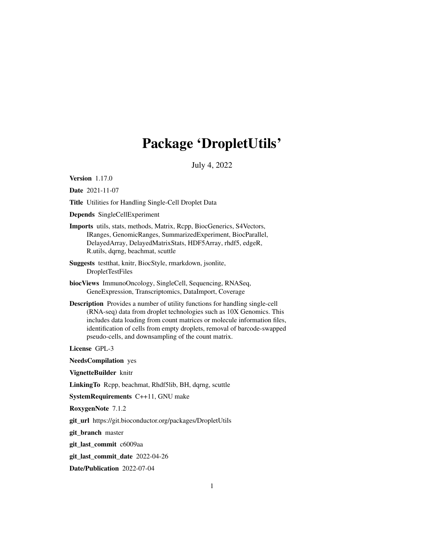## Package 'DropletUtils'

July 4, 2022

<span id="page-0-0"></span>Version 1.17.0

Date 2021-11-07

Title Utilities for Handling Single-Cell Droplet Data

Depends SingleCellExperiment

Imports utils, stats, methods, Matrix, Rcpp, BiocGenerics, S4Vectors, IRanges, GenomicRanges, SummarizedExperiment, BiocParallel, DelayedArray, DelayedMatrixStats, HDF5Array, rhdf5, edgeR, R.utils, dqrng, beachmat, scuttle

Suggests testthat, knitr, BiocStyle, rmarkdown, jsonlite, DropletTestFiles

- biocViews ImmunoOncology, SingleCell, Sequencing, RNASeq, GeneExpression, Transcriptomics, DataImport, Coverage
- Description Provides a number of utility functions for handling single-cell (RNA-seq) data from droplet technologies such as 10X Genomics. This includes data loading from count matrices or molecule information files, identification of cells from empty droplets, removal of barcode-swapped pseudo-cells, and downsampling of the count matrix.

License GPL-3

NeedsCompilation yes

VignetteBuilder knitr

LinkingTo Rcpp, beachmat, Rhdf5lib, BH, dqrng, scuttle

SystemRequirements C++11, GNU make

RoxygenNote 7.1.2

git\_url https://git.bioconductor.org/packages/DropletUtils

git\_branch master

git\_last\_commit c6009aa

git\_last\_commit\_date 2022-04-26

Date/Publication 2022-07-04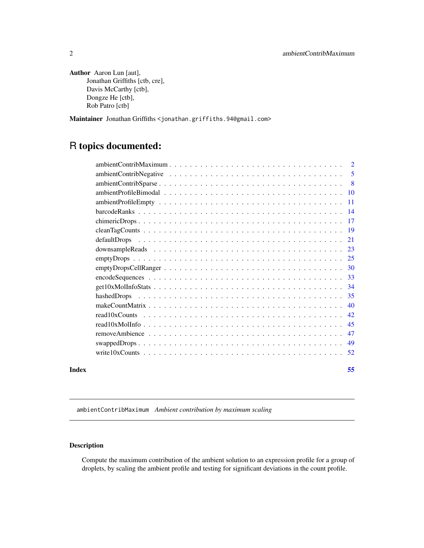```
Author Aaron Lun [aut],
      Jonathan Griffiths [ctb, cre],
      Davis McCarthy [ctb],
      Dongze He [ctb],
      Rob Patro [ctb]
```
Maintainer Jonathan Griffiths <jonathan.griffiths.94@gmail.com>

## R topics documented:

|       | -5 |
|-------|----|
|       |    |
|       |    |
|       |    |
|       |    |
|       |    |
|       |    |
|       |    |
|       | 23 |
|       |    |
|       |    |
|       |    |
|       | 34 |
|       |    |
|       | 40 |
|       | 42 |
|       | 45 |
|       | 47 |
|       | 49 |
|       |    |
| Index | 55 |

<span id="page-1-1"></span>ambientContribMaximum *Ambient contribution by maximum scaling*

## Description

Compute the maximum contribution of the ambient solution to an expression profile for a group of droplets, by scaling the ambient profile and testing for significant deviations in the count profile.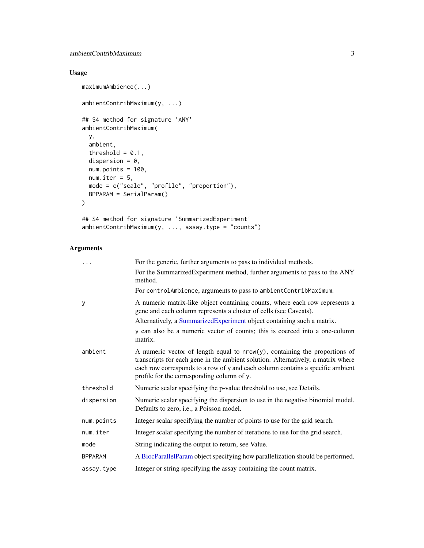## <span id="page-2-0"></span>ambientContribMaximum 3

## Usage

```
maximumAmbience(...)
ambientContribMaximum(y, ...)
## S4 method for signature 'ANY'
ambientContribMaximum(
 y,
 ambient,
 threshold = 0.1,
 dispersion = 0,
 num.points = 100,
 num.iter = 5,
 mode = c("scale", "profile", "proportion"),
 BPPARAM = SerialParam()
\mathcal{L}
```

```
## S4 method for signature 'SummarizedExperiment'
ambientContribMaximum(y, ..., assay.type = "counts")
```
## Arguments

|                | For the generic, further arguments to pass to individual methods.                                                                                                                                                                                                                                 |
|----------------|---------------------------------------------------------------------------------------------------------------------------------------------------------------------------------------------------------------------------------------------------------------------------------------------------|
|                | For the SummarizedExperiment method, further arguments to pass to the ANY<br>method.                                                                                                                                                                                                              |
|                | For controlAmbience, arguments to pass to ambientContribMaximum.                                                                                                                                                                                                                                  |
| У              | A numeric matrix-like object containing counts, where each row represents a<br>gene and each column represents a cluster of cells (see Caveats).                                                                                                                                                  |
|                | Alternatively, a SummarizedExperiment object containing such a matrix.                                                                                                                                                                                                                            |
|                | y can also be a numeric vector of counts; this is coerced into a one-column<br>matrix.                                                                                                                                                                                                            |
| ambient        | A numeric vector of length equal to $nrow(y)$ , containing the proportions of<br>transcripts for each gene in the ambient solution. Alternatively, a matrix where<br>each row corresponds to a row of y and each column contains a specific ambient<br>profile for the corresponding column of y. |
| threshold      | Numeric scalar specifying the p-value threshold to use, see Details.                                                                                                                                                                                                                              |
| dispersion     | Numeric scalar specifying the dispersion to use in the negative binomial model.<br>Defaults to zero, <i>i.e.</i> , a Poisson model.                                                                                                                                                               |
| num.points     | Integer scalar specifying the number of points to use for the grid search.                                                                                                                                                                                                                        |
| num.iter       | Integer scalar specifying the number of iterations to use for the grid search.                                                                                                                                                                                                                    |
| mode           | String indicating the output to return, see Value.                                                                                                                                                                                                                                                |
| <b>BPPARAM</b> | A BiocParallelParam object specifying how parallelization should be performed.                                                                                                                                                                                                                    |
| assay.type     | Integer or string specifying the assay containing the count matrix.                                                                                                                                                                                                                               |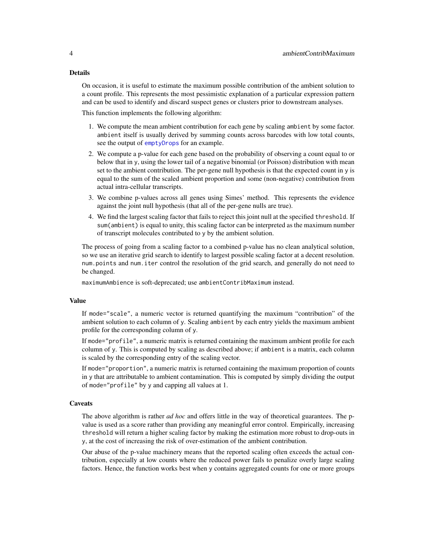#### <span id="page-3-0"></span>Details

On occasion, it is useful to estimate the maximum possible contribution of the ambient solution to a count profile. This represents the most pessimistic explanation of a particular expression pattern and can be used to identify and discard suspect genes or clusters prior to downstream analyses.

This function implements the following algorithm:

- 1. We compute the mean ambient contribution for each gene by scaling ambient by some factor. ambient itself is usually derived by summing counts across barcodes with low total counts, see the output of [emptyDrops](#page-24-1) for an example.
- 2. We compute a p-value for each gene based on the probability of observing a count equal to or below that in y, using the lower tail of a negative binomial (or Poisson) distribution with mean set to the ambient contribution. The per-gene null hypothesis is that the expected count in y is equal to the sum of the scaled ambient proportion and some (non-negative) contribution from actual intra-cellular transcripts.
- 3. We combine p-values across all genes using Simes' method. This represents the evidence against the joint null hypothesis (that all of the per-gene nulls are true).
- 4. We find the largest scaling factor that fails to reject this joint null at the specified threshold. If sum(ambient) is equal to unity, this scaling factor can be interpreted as the maximum number of transcript molecules contributed to y by the ambient solution.

The process of going from a scaling factor to a combined p-value has no clean analytical solution, so we use an iterative grid search to identify to largest possible scaling factor at a decent resolution. num.points and num.iter control the resolution of the grid search, and generally do not need to be changed.

maximumAmbience is soft-deprecated; use ambientContribMaximum instead.

#### Value

If mode="scale", a numeric vector is returned quantifying the maximum "contribution" of the ambient solution to each column of y. Scaling ambient by each entry yields the maximum ambient profile for the corresponding column of y.

If mode="profile", a numeric matrix is returned containing the maximum ambient profile for each column of y. This is computed by scaling as described above; if ambient is a matrix, each column is scaled by the corresponding entry of the scaling vector.

If mode="proportion", a numeric matrix is returned containing the maximum proportion of counts in y that are attributable to ambient contamination. This is computed by simply dividing the output of mode="profile" by y and capping all values at 1.

#### **Caveats**

The above algorithm is rather *ad hoc* and offers little in the way of theoretical guarantees. The pvalue is used as a score rather than providing any meaningful error control. Empirically, increasing threshold will return a higher scaling factor by making the estimation more robust to drop-outs in y, at the cost of increasing the risk of over-estimation of the ambient contribution.

Our abuse of the p-value machinery means that the reported scaling often exceeds the actual contribution, especially at low counts where the reduced power fails to penalize overly large scaling factors. Hence, the function works best when y contains aggregated counts for one or more groups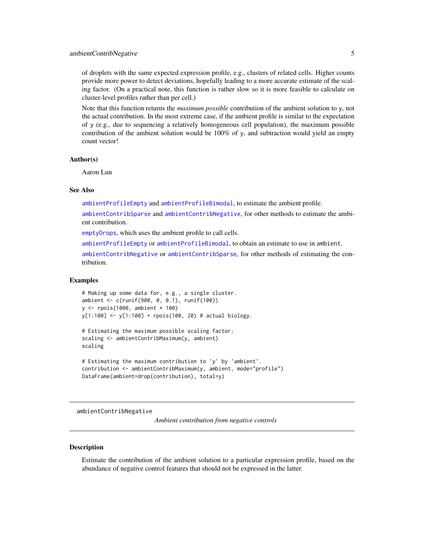<span id="page-4-0"></span>of droplets with the same expected expression profile, e.g., clusters of related cells. Higher counts provide more power to detect deviations, hopefully leading to a more accurate estimate of the scaling factor. (On a practical note, this function is rather slow so it is more feasible to calculate on cluster-level profiles rather than per cell.)

Note that this function returns the *maximum possible* contribution of the ambient solution to y, not the actual contribution. In the most extreme case, if the ambient profile is similar to the expectation of y (e.g., due to sequencing a relatively homogeneous cell population), the maximum possible contribution of the ambient solution would be 100% of y, and subtraction would yield an empty count vector!

## Author(s)

Aaron Lun

## See Also

[ambientProfileEmpty](#page-10-1) and [ambientProfileBimodal](#page-9-1), to estimate the ambient profile.

[ambientContribSparse](#page-7-1) and [ambientContribNegative](#page-4-1), for other methods to estimate the ambient contribution.

[emptyDrops](#page-24-1), which uses the ambient profile to call cells.

[ambientProfileEmpty](#page-10-1) or [ambientProfileBimodal](#page-9-1), to obtain an estimate to use in ambient.

[ambientContribNegative](#page-4-1) or [ambientContribSparse](#page-7-1), for other methods of estimating the contribution.

#### Examples

```
# Making up some data for, e.g., a single cluster.
ambient <- c(runif(900, 0, 0.1), runif(100))
y <- rpois(1000, ambient * 100)
y[1:100] <- y[1:100] + rpois(100, 20) # actual biology.
```

```
# Estimating the maximum possible scaling factor:
scaling <- ambientContribMaximum(y, ambient)
scaling
```

```
# Estimating the maximum contribution to 'y' by 'ambient'.
contribution <- ambientContribMaximum(y, ambient, mode="profile")
DataFrame(ambient=drop(contribution), total=y)
```
<span id="page-4-1"></span>ambientContribNegative

*Ambient contribution from negative controls*

#### **Description**

Estimate the contribution of the ambient solution to a particular expression profile, based on the abundance of negative control features that should not be expressed in the latter.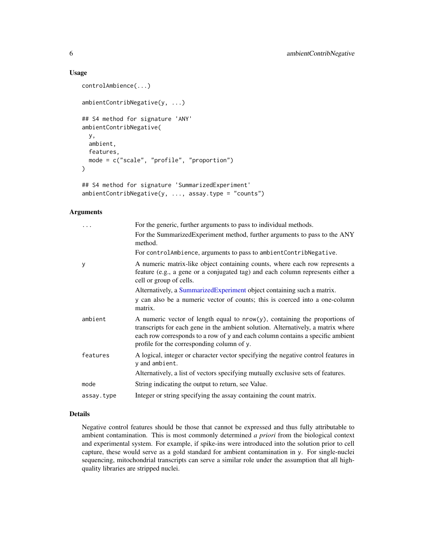## Usage

```
controlAmbience(...)
ambientContribNegative(y, ...)
## S4 method for signature 'ANY'
ambientContribNegative(
 y,
  ambient,
 features,
 mode = c("scale", "profile", "proportion")
\lambda## S4 method for signature 'SummarizedExperiment'
ambientContribNegative(y, ..., assay.type = "counts")
```
#### Arguments

|            | For the generic, further arguments to pass to individual methods.                                                                                                                                                                                                                                 |
|------------|---------------------------------------------------------------------------------------------------------------------------------------------------------------------------------------------------------------------------------------------------------------------------------------------------|
|            | For the SummarizedExperiment method, further arguments to pass to the ANY<br>method.                                                                                                                                                                                                              |
|            | For controlAmbience, arguments to pass to ambientContribNegative.                                                                                                                                                                                                                                 |
| y          | A numeric matrix-like object containing counts, where each row represents a<br>feature (e.g., a gene or a conjugated tag) and each column represents either a<br>cell or group of cells.                                                                                                          |
|            | Alternatively, a SummarizedExperiment object containing such a matrix.                                                                                                                                                                                                                            |
|            | y can also be a numeric vector of counts; this is coerced into a one-column<br>matrix.                                                                                                                                                                                                            |
| ambient    | A numeric vector of length equal to $nrow(y)$ , containing the proportions of<br>transcripts for each gene in the ambient solution. Alternatively, a matrix where<br>each row corresponds to a row of y and each column contains a specific ambient<br>profile for the corresponding column of y. |
| features   | A logical, integer or character vector specifying the negative control features in<br>y and ambient.                                                                                                                                                                                              |
|            | Alternatively, a list of vectors specifying mutually exclusive sets of features.                                                                                                                                                                                                                  |
| mode       | String indicating the output to return, see Value.                                                                                                                                                                                                                                                |
| assay.type | Integer or string specifying the assay containing the count matrix.                                                                                                                                                                                                                               |

## Details

Negative control features should be those that cannot be expressed and thus fully attributable to ambient contamination. This is most commonly determined *a priori* from the biological context and experimental system. For example, if spike-ins were introduced into the solution prior to cell capture, these would serve as a gold standard for ambient contamination in y. For single-nuclei sequencing, mitochondrial transcripts can serve a similar role under the assumption that all highquality libraries are stripped nuclei.

<span id="page-5-0"></span>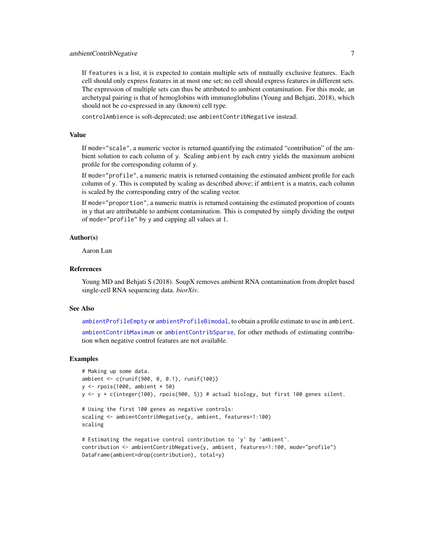<span id="page-6-0"></span>If features is a list, it is expected to contain multiple sets of mutually exclusive features. Each cell should only express features in at most one set; no cell should express features in different sets. The expression of multiple sets can thus be attributed to ambient contamination. For this mode, an archetypal pairing is that of hemoglobins with immunoglobulins (Young and Behjati, 2018), which should not be co-expressed in any (known) cell type.

controlAmbience is soft-deprecated; use ambientContribNegative instead.

#### Value

If mode="scale", a numeric vector is returned quantifying the estimated "contribution" of the ambient solution to each column of y. Scaling ambient by each entry yields the maximum ambient profile for the corresponding column of y.

If mode="profile", a numeric matrix is returned containing the estimated ambient profile for each column of y. This is computed by scaling as described above; if ambient is a matrix, each column is scaled by the corresponding entry of the scaling vector.

If mode="proportion", a numeric matrix is returned containing the estimated proportion of counts in y that are attributable to ambient contamination. This is computed by simply dividing the output of mode="profile" by y and capping all values at 1.

#### Author(s)

Aaron Lun

#### References

Young MD and Behjati S (2018). SoupX removes ambient RNA contamination from droplet based single-cell RNA sequencing data. *biorXiv*.

#### See Also

[ambientProfileEmpty](#page-10-1) or [ambientProfileBimodal](#page-9-1), to obtain a profile estimate to use in ambient.

[ambientContribMaximum](#page-1-1) or [ambientContribSparse](#page-7-1), for other methods of estimating contribution when negative control features are not available.

#### Examples

```
# Making up some data.
ambient <- c(runif(900, 0, 0.1), runif(100))
y <- rpois(1000, ambient * 50)
y <- y + c(integer(100), rpois(900, 5)) # actual biology, but first 100 genes silent.
```

```
# Using the first 100 genes as negative controls:
scaling <- ambientContribNegative(y, ambient, features=1:100)
scaling
```

```
# Estimating the negative control contribution to 'y' by 'ambient'.
contribution <- ambientContribNegative(y, ambient, features=1:100, mode="profile")
DataFrame(ambient=drop(contribution), total=y)
```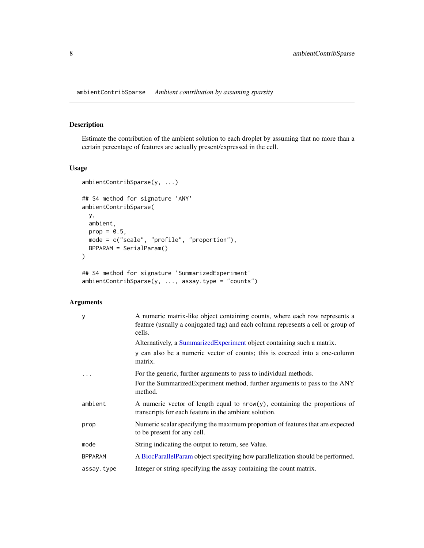<span id="page-7-1"></span><span id="page-7-0"></span>ambientContribSparse *Ambient contribution by assuming sparsity*

## Description

Estimate the contribution of the ambient solution to each droplet by assuming that no more than a certain percentage of features are actually present/expressed in the cell.

## Usage

```
ambientContribSparse(y, ...)
## S4 method for signature 'ANY'
ambientContribSparse(
 y,
 ambient,
 prop = 0.5,
 mode = c("scale", "profile", "proportion"),
 BPPARAM = SerialParam()
)
```

```
## S4 method for signature 'SummarizedExperiment'
ambientContribSparse(y, ..., assay.type = "counts")
```
## Arguments

| У              | A numeric matrix-like object containing counts, where each row represents a<br>feature (usually a conjugated tag) and each column represents a cell or group of<br>cells. |
|----------------|---------------------------------------------------------------------------------------------------------------------------------------------------------------------------|
|                | Alternatively, a Summarized Experiment object containing such a matrix.                                                                                                   |
|                | y can also be a numeric vector of counts; this is coerced into a one-column<br>matrix.                                                                                    |
|                | For the generic, further arguments to pass to individual methods.                                                                                                         |
|                | For the SummarizedExperiment method, further arguments to pass to the ANY<br>method.                                                                                      |
| ambient        | A numeric vector of length equal to $nrow(y)$ , containing the proportions of<br>transcripts for each feature in the ambient solution.                                    |
| prop           | Numeric scalar specifying the maximum proportion of features that are expected<br>to be present for any cell.                                                             |
| mode           | String indicating the output to return, see Value.                                                                                                                        |
| <b>BPPARAM</b> | A BiocParallelParam object specifying how parallelization should be performed.                                                                                            |
| assay.type     | Integer or string specifying the assay containing the count matrix.                                                                                                       |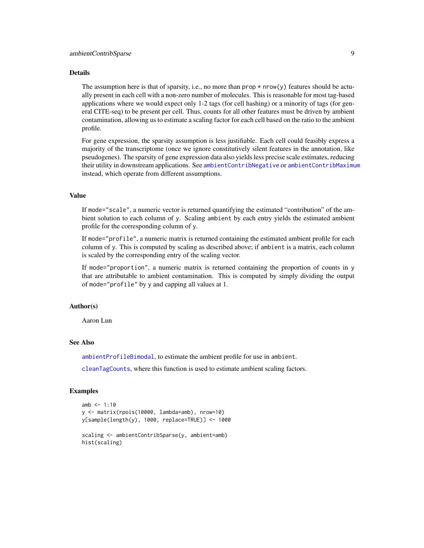#### <span id="page-8-0"></span>Details

The assumption here is that of sparsity, i.e., no more than  $prop * nrow(y)$  features should be actually present in each cell with a non-zero number of molecules. This is reasonable for most tag-based applications where we would expect only 1-2 tags (for cell hashing) or a minority of tags (for general CITE-seq) to be present per cell. Thus, counts for all other features must be driven by ambient contamination, allowing us to estimate a scaling factor for each cell based on the ratio to the ambient profile.

For gene expression, the sparsity assumption is less justifiable. Each cell could feasibly express a majority of the transcriptome (once we ignore constitutively silent features in the annotation, like pseudogenes). The sparsity of gene expression data also yields less precise scale estimates, reducing their utility in downstream applications. See [ambientContribNegative](#page-4-1) or [ambientContribMaximum](#page-1-1) instead, which operate from different assumptions.

#### Value

If mode="scale", a numeric vector is returned quantifying the estimated "contribution" of the ambient solution to each column of y. Scaling ambient by each entry yields the estimated ambient profile for the corresponding column of y.

If mode="profile", a numeric matrix is returned containing the estimated ambient profile for each column of y. This is computed by scaling as described above; if ambient is a matrix, each column is scaled by the corresponding entry of the scaling vector.

If mode="proportion", a numeric matrix is returned containing the proportion of counts in y that are attributable to ambient contamination. This is computed by simply dividing the output of mode="profile" by y and capping all values at 1.

## Author(s)

Aaron Lun

## See Also

[ambientProfileBimodal](#page-9-1), to estimate the ambient profile for use in ambient.

[cleanTagCounts](#page-18-1), where this function is used to estimate ambient scaling factors.

## Examples

```
amb < -1:10y <- matrix(rpois(10000, lambda=amb), nrow=10)
y[sample(length(y), 1000, replace=TRUE)] <- 1000
scaling <- ambientContribSparse(y, ambient=amb)
hist(scaling)
```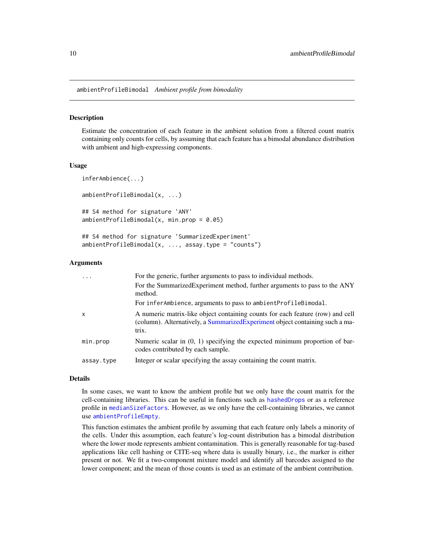<span id="page-9-1"></span><span id="page-9-0"></span>ambientProfileBimodal *Ambient profile from bimodality*

## Description

Estimate the concentration of each feature in the ambient solution from a filtered count matrix containing only counts for cells, by assuming that each feature has a bimodal abundance distribution with ambient and high-expressing components.

#### Usage

```
inferAmbience(...)
ambientProfileBimodal(x, ...)
## S4 method for signature 'ANY'
ambientProfit [Bimodal(x, min.prop = 0.05)]## S4 method for signature 'SummarizedExperiment'
```
ambientProfileBimodal(x, ..., assay.type = "counts")

## Arguments

| $\cdot$      | For the generic, further arguments to pass to individual methods.                                                                                                        |
|--------------|--------------------------------------------------------------------------------------------------------------------------------------------------------------------------|
|              | For the SummarizedExperiment method, further arguments to pass to the ANY<br>method.                                                                                     |
|              | For inferAmbience, arguments to pass to ambient Profile Bimodal.                                                                                                         |
| $\mathsf{x}$ | A numeric matrix-like object containing counts for each feature (row) and cell<br>(column). Alternatively, a Summarized Experiment object containing such a ma-<br>trix. |
| min.prop     | Numeric scalar in $(0, 1)$ specifying the expected minimum proportion of bar-<br>codes contributed by each sample.                                                       |
| assay.type   | Integer or scalar specifying the assay containing the count matrix.                                                                                                      |

## Details

In some cases, we want to know the ambient profile but we only have the count matrix for the cell-containing libraries. This can be useful in functions such as [hashedDrops](#page-34-1) or as a reference profile in [medianSizeFactors](#page-0-0). However, as we only have the cell-containing libraries, we cannot use [ambientProfileEmpty](#page-10-1).

This function estimates the ambient profile by assuming that each feature only labels a minority of the cells. Under this assumption, each feature's log-count distribution has a bimodal distribution where the lower mode represents ambient contamination. This is generally reasonable for tag-based applications like cell hashing or CITE-seq where data is usually binary, i.e., the marker is either present or not. We fit a two-component mixture model and identify all barcodes assigned to the lower component; and the mean of those counts is used as an estimate of the ambient contribution.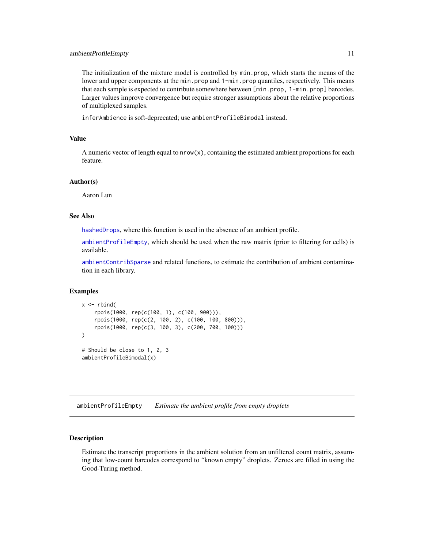#### <span id="page-10-0"></span>ambientProfileEmpty 11

The initialization of the mixture model is controlled by min.prop, which starts the means of the lower and upper components at the min.prop and 1-min.prop quantiles, respectively. This means that each sample is expected to contribute somewhere between [min.prop, 1-min.prop] barcodes. Larger values improve convergence but require stronger assumptions about the relative proportions of multiplexed samples.

inferAmbience is soft-deprecated; use ambientProfileBimodal instead.

#### Value

A numeric vector of length equal to  $nrow(x)$ , containing the estimated ambient proportions for each feature.

## Author(s)

Aaron Lun

## See Also

[hashedDrops](#page-34-1), where this function is used in the absence of an ambient profile.

[ambientProfileEmpty](#page-10-1), which should be used when the raw matrix (prior to filtering for cells) is available.

[ambientContribSparse](#page-7-1) and related functions, to estimate the contribution of ambient contamination in each library.

#### Examples

```
x \leftarrow \text{rbind}(rpois(1000, rep(c(100, 1), c(100, 900))),
    rpois(1000, rep(c(2, 100, 2), c(100, 100, 800))),
    rpois(1000, rep(c(3, 100, 3), c(200, 700, 100)))
\mathcal{L}# Should be close to 1, 2, 3
ambientProfileBimodal(x)
```
<span id="page-10-1"></span>ambientProfileEmpty *Estimate the ambient profile from empty droplets*

#### <span id="page-10-2"></span>Description

Estimate the transcript proportions in the ambient solution from an unfiltered count matrix, assuming that low-count barcodes correspond to "known empty" droplets. Zeroes are filled in using the Good-Turing method.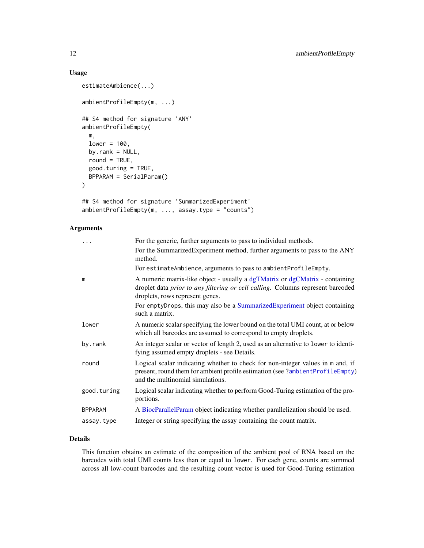## Usage

```
estimateAmbience(...)
ambientProfileEmpty(m, ...)
## S4 method for signature 'ANY'
ambientProfileEmpty(
 m,
  lower = 100,by.rank = NULL,
  round = TRUE,
  good.turing = TRUE,
 BPPARAM = SerialParam()
\mathcal{L}## S4 method for signature 'SummarizedExperiment'
ambientProfileEmpty(m, ..., assay.type = "counts")
```
## Arguments

| $\ddots$       | For the generic, further arguments to pass to individual methods.                                                                                                                                   |
|----------------|-----------------------------------------------------------------------------------------------------------------------------------------------------------------------------------------------------|
|                | For the SummarizedExperiment method, further arguments to pass to the ANY<br>method.                                                                                                                |
|                | For estimateAmbience, arguments to pass to ambientProfileEmpty.                                                                                                                                     |
| m              | A numeric matrix-like object - usually a dgTMatrix or dgCMatrix - containing<br>droplet data prior to any filtering or cell calling. Columns represent barcoded<br>droplets, rows represent genes.  |
|                | For emptyDrops, this may also be a SummarizedExperiment object containing<br>such a matrix.                                                                                                         |
| lower          | A numeric scalar specifying the lower bound on the total UMI count, at or below<br>which all barcodes are assumed to correspond to empty droplets.                                                  |
| by.rank        | An integer scalar or vector of length 2, used as an alternative to lower to identi-<br>fying assumed empty droplets - see Details.                                                                  |
| round          | Logical scalar indicating whether to check for non-integer values in m and, if<br>present, round them for ambient profile estimation (see ?ambientProfileEmpty)<br>and the multinomial simulations. |
| good.turing    | Logical scalar indicating whether to perform Good-Turing estimation of the pro-<br>portions.                                                                                                        |
| <b>BPPARAM</b> | A BiocParallelParam object indicating whether parallelization should be used.                                                                                                                       |
| assay.type     | Integer or string specifying the assay containing the count matrix.                                                                                                                                 |
|                |                                                                                                                                                                                                     |

## Details

This function obtains an estimate of the composition of the ambient pool of RNA based on the barcodes with total UMI counts less than or equal to lower. For each gene, counts are summed across all low-count barcodes and the resulting count vector is used for Good-Turing estimation

<span id="page-11-0"></span>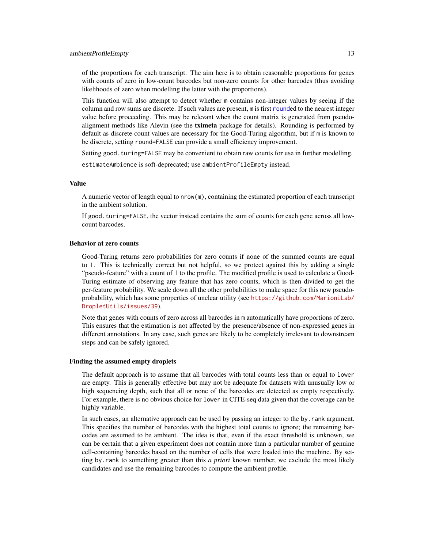<span id="page-12-0"></span>of the proportions for each transcript. The aim here is to obtain reasonable proportions for genes with counts of zero in low-count barcodes but non-zero counts for other barcodes (thus avoiding likelihoods of zero when modelling the latter with the proportions).

This function will also attempt to detect whether m contains non-integer values by seeing if the column and row sums are discrete. If such values are present, m is first [round](#page-0-0)ed to the nearest integer value before proceeding. This may be relevant when the count matrix is generated from pseudoalignment methods like Alevin (see the tximeta package for details). Rounding is performed by default as discrete count values are necessary for the Good-Turing algorithm, but if m is known to be discrete, setting round=FALSE can provide a small efficiency improvement.

Setting good. turing=FALSE may be convenient to obtain raw counts for use in further modelling.

estimateAmbience is soft-deprecated; use ambientProfileEmpty instead.

## Value

A numeric vector of length equal to nrow(m), containing the estimated proportion of each transcript in the ambient solution.

If good.turing=FALSE, the vector instead contains the sum of counts for each gene across all lowcount barcodes.

## Behavior at zero counts

Good-Turing returns zero probabilities for zero counts if none of the summed counts are equal to 1. This is technically correct but not helpful, so we protect against this by adding a single "pseudo-feature" with a count of 1 to the profile. The modified profile is used to calculate a Good-Turing estimate of observing any feature that has zero counts, which is then divided to get the per-feature probability. We scale down all the other probabilities to make space for this new pseudoprobability, which has some properties of unclear utility (see [https://github.com/MarioniLab/](https://github.com/MarioniLab/DropletUtils/issues/39) [DropletUtils/issues/39](https://github.com/MarioniLab/DropletUtils/issues/39)).

Note that genes with counts of zero across all barcodes in m automatically have proportions of zero. This ensures that the estimation is not affected by the presence/absence of non-expressed genes in different annotations. In any case, such genes are likely to be completely irrelevant to downstream steps and can be safely ignored.

#### Finding the assumed empty droplets

The default approach is to assume that all barcodes with total counts less than or equal to lower are empty. This is generally effective but may not be adequate for datasets with unusually low or high sequencing depth, such that all or none of the barcodes are detected as empty respectively. For example, there is no obvious choice for lower in CITE-seq data given that the coverage can be highly variable.

In such cases, an alternative approach can be used by passing an integer to the by.rank argument. This specifies the number of barcodes with the highest total counts to ignore; the remaining barcodes are assumed to be ambient. The idea is that, even if the exact threshold is unknown, we can be certain that a given experiment does not contain more than a particular number of genuine cell-containing barcodes based on the number of cells that were loaded into the machine. By setting by.rank to something greater than this *a priori* known number, we exclude the most likely candidates and use the remaining barcodes to compute the ambient profile.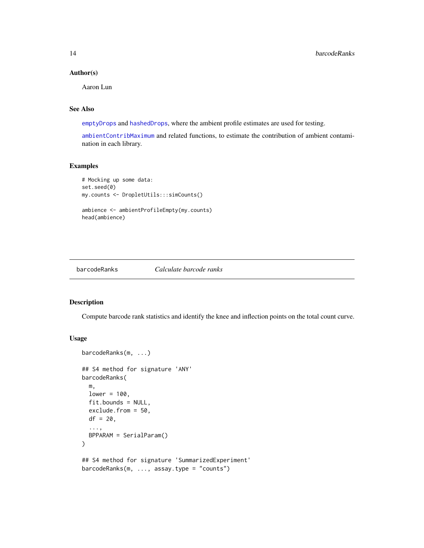## <span id="page-13-0"></span>Author(s)

Aaron Lun

## See Also

[emptyDrops](#page-24-1) and [hashedDrops](#page-34-1), where the ambient profile estimates are used for testing.

[ambientContribMaximum](#page-1-1) and related functions, to estimate the contribution of ambient contamination in each library.

#### Examples

```
# Mocking up some data:
set.seed(0)
my.counts <- DropletUtils:::simCounts()
ambience <- ambientProfileEmpty(my.counts)
head(ambience)
```
<span id="page-13-1"></span>

```
barcodeRanks Calculate barcode ranks
```
## Description

Compute barcode rank statistics and identify the knee and inflection points on the total count curve.

## Usage

```
barcodeRanks(m, ...)
## S4 method for signature 'ANY'
barcodeRanks(
 m,
  lower = 100,fit.bounds = NULL,
  exclude.from = 50,
 df = 20,
  ...,
 BPPARAM = SerialParam()
)
## S4 method for signature 'SummarizedExperiment'
barcodeRanks(m, ..., assay.type = "counts")
```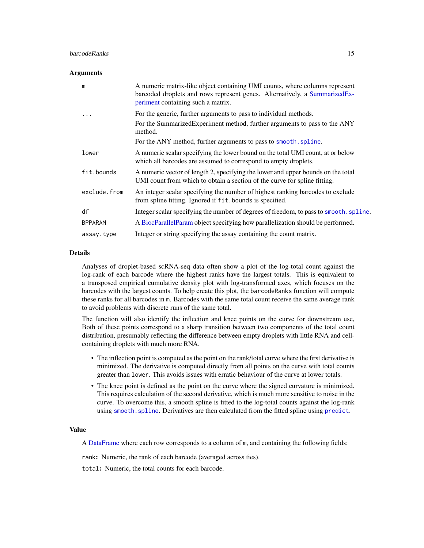## <span id="page-14-0"></span>**barcodeRanks** 15

#### **Arguments**

| m              | A numeric matrix-like object containing UMI counts, where columns represent<br>barcoded droplets and rows represent genes. Alternatively, a SummarizedEx-<br>periment containing such a matrix. |
|----------------|-------------------------------------------------------------------------------------------------------------------------------------------------------------------------------------------------|
| .              | For the generic, further arguments to pass to individual methods.                                                                                                                               |
|                | For the SummarizedExperiment method, further arguments to pass to the ANY<br>method.                                                                                                            |
|                | For the ANY method, further arguments to pass to smooth. spline.                                                                                                                                |
| lower          | A numeric scalar specifying the lower bound on the total UMI count, at or below<br>which all barcodes are assumed to correspond to empty droplets.                                              |
| fit.bounds     | A numeric vector of length 2, specifying the lower and upper bounds on the total<br>UMI count from which to obtain a section of the curve for spline fitting.                                   |
| exclude.from   | An integer scalar specifying the number of highest ranking barcodes to exclude<br>from spline fitting. Ignored if fit.bounds is specified.                                                      |
| df             | Integer scalar specifying the number of degrees of freedom, to pass to smooth. spline.                                                                                                          |
| <b>BPPARAM</b> | A BiocParallelParam object specifying how parallelization should be performed.                                                                                                                  |
| assay.type     | Integer or string specifying the assay containing the count matrix.                                                                                                                             |

## **Details**

Analyses of droplet-based scRNA-seq data often show a plot of the log-total count against the log-rank of each barcode where the highest ranks have the largest totals. This is equivalent to a transposed empirical cumulative density plot with log-transformed axes, which focuses on the barcodes with the largest counts. To help create this plot, the barcodeRanks function will compute these ranks for all barcodes in m. Barcodes with the same total count receive the same average rank to avoid problems with discrete runs of the same total.

The function will also identify the inflection and knee points on the curve for downstream use, Both of these points correspond to a sharp transition between two components of the total count distribution, presumably reflecting the difference between empty droplets with little RNA and cellcontaining droplets with much more RNA.

- The inflection point is computed as the point on the rank/total curve where the first derivative is minimized. The derivative is computed directly from all points on the curve with total counts greater than lower. This avoids issues with erratic behaviour of the curve at lower totals.
- The knee point is defined as the point on the curve where the signed curvature is minimized. This requires calculation of the second derivative, which is much more sensitive to noise in the curve. To overcome this, a smooth spline is fitted to the log-total counts against the log-rank using [smooth.spline](#page-0-0). Derivatives are then calculated from the fitted spline using [predict](#page-0-0).

## Value

A [DataFrame](#page-0-0) where each row corresponds to a column of m, and containing the following fields:

rank: Numeric, the rank of each barcode (averaged across ties).

total: Numeric, the total counts for each barcode.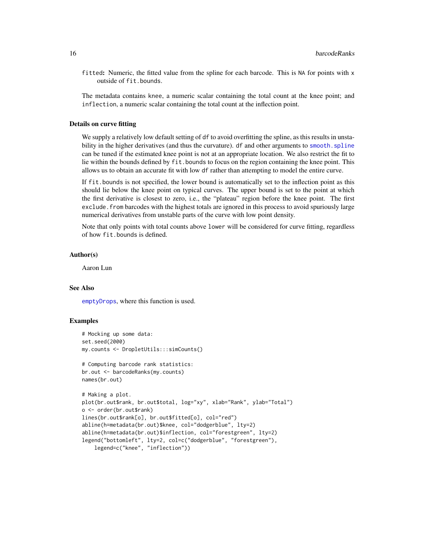fitted: Numeric, the fitted value from the spline for each barcode. This is NA for points with x outside of fit.bounds.

The metadata contains knee, a numeric scalar containing the total count at the knee point; and inflection, a numeric scalar containing the total count at the inflection point.

#### Details on curve fitting

We supply a relatively low default setting of df to avoid overfitting the spline, as this results in unstability in the higher derivatives (and thus the curvature). df and other arguments to smooth. spline can be tuned if the estimated knee point is not at an appropriate location. We also restrict the fit to lie within the bounds defined by fit.bounds to focus on the region containing the knee point. This allows us to obtain an accurate fit with low df rather than attempting to model the entire curve.

If fit.bounds is not specified, the lower bound is automatically set to the inflection point as this should lie below the knee point on typical curves. The upper bound is set to the point at which the first derivative is closest to zero, i.e., the "plateau" region before the knee point. The first exclude.from barcodes with the highest totals are ignored in this process to avoid spuriously large numerical derivatives from unstable parts of the curve with low point density.

Note that only points with total counts above lower will be considered for curve fitting, regardless of how fit.bounds is defined.

## Author(s)

Aaron Lun

## See Also

[emptyDrops](#page-24-1), where this function is used.

#### Examples

```
# Mocking up some data:
set.seed(2000)
my.counts <- DropletUtils:::simCounts()
```

```
# Computing barcode rank statistics:
br.out <- barcodeRanks(my.counts)
names(br.out)
```

```
# Making a plot.
plot(br.out$rank, br.out$total, log="xy", xlab="Rank", ylab="Total")
o <- order(br.out$rank)
lines(br.out$rank[o], br.out$fitted[o], col="red")
abline(h=metadata(br.out)$knee, col="dodgerblue", lty=2)
abline(h=metadata(br.out)$inflection, col="forestgreen", lty=2)
legend("bottomleft", lty=2, col=c("dodgerblue", "forestgreen"),
    legend=c("knee", "inflection"))
```
<span id="page-15-0"></span>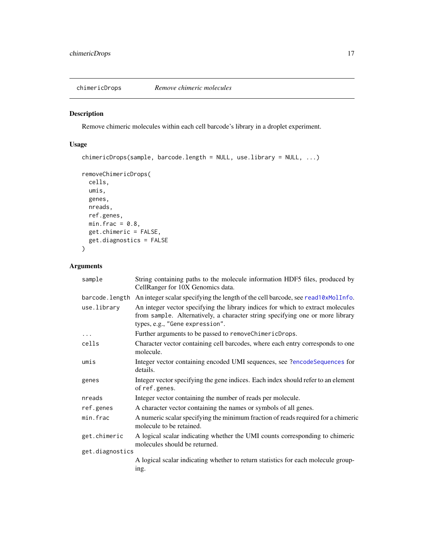<span id="page-16-0"></span>

## Description

Remove chimeric molecules within each cell barcode's library in a droplet experiment.

## Usage

```
chimericDrops(sample, barcode.length = NULL, use.library = NULL, ...)
```

```
removeChimericDrops(
 cells,
 umis,
 genes,
 nreads,
 ref.genes,
 min.frac = 0.8,
 get.chimeric = FALSE,
 get.diagnostics = FALSE
\mathcal{L}
```
## Arguments

| sample          | String containing paths to the molecule information HDF5 files, produced by<br>CellRanger for 10X Genomics data.                                                                                    |
|-----------------|-----------------------------------------------------------------------------------------------------------------------------------------------------------------------------------------------------|
| barcode.length  | An integer scalar specifying the length of the cell barcode, see read10xMolInfo.                                                                                                                    |
| use.library     | An integer vector specifying the library indices for which to extract molecules<br>from sample. Alternatively, a character string specifying one or more library<br>types, e.g., "Gene expression". |
| $\cdots$        | Further arguments to be passed to removeChimericDrops.                                                                                                                                              |
| cells           | Character vector containing cell barcodes, where each entry corresponds to one<br>molecule.                                                                                                         |
| umis            | Integer vector containing encoded UMI sequences, see ?encodeSequences for<br>details.                                                                                                               |
| genes           | Integer vector specifying the gene indices. Each index should refer to an element<br>of ref.genes.                                                                                                  |
| nreads          | Integer vector containing the number of reads per molecule.                                                                                                                                         |
| ref.genes       | A character vector containing the names or symbols of all genes.                                                                                                                                    |
| min.frac        | A numeric scalar specifying the minimum fraction of reads required for a chimeric<br>molecule to be retained.                                                                                       |
| get.chimeric    | A logical scalar indicating whether the UMI counts corresponding to chimeric<br>molecules should be returned.                                                                                       |
| get.diagnostics |                                                                                                                                                                                                     |
|                 | A logical scalar indicating whether to return statistics for each molecule group-<br>ing.                                                                                                           |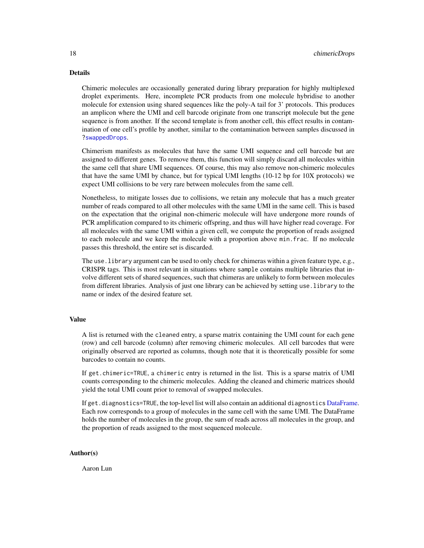## <span id="page-17-0"></span>Details

Chimeric molecules are occasionally generated during library preparation for highly multiplexed droplet experiments. Here, incomplete PCR products from one molecule hybridise to another molecule for extension using shared sequences like the poly-A tail for 3' protocols. This produces an amplicon where the UMI and cell barcode originate from one transcript molecule but the gene sequence is from another. If the second template is from another cell, this effect results in contamination of one cell's profile by another, similar to the contamination between samples discussed in [?swappedDrops](#page-48-1).

Chimerism manifests as molecules that have the same UMI sequence and cell barcode but are assigned to different genes. To remove them, this function will simply discard all molecules within the same cell that share UMI sequences. Of course, this may also remove non-chimeric molecules that have the same UMI by chance, but for typical UMI lengths (10-12 bp for 10X protocols) we expect UMI collisions to be very rare between molecules from the same cell.

Nonetheless, to mitigate losses due to collisions, we retain any molecule that has a much greater number of reads compared to all other molecules with the same UMI in the same cell. This is based on the expectation that the original non-chimeric molecule will have undergone more rounds of PCR amplification compared to its chimeric offspring, and thus will have higher read coverage. For all molecules with the same UMI within a given cell, we compute the proportion of reads assigned to each molecule and we keep the molecule with a proportion above min.frac. If no molecule passes this threshold, the entire set is discarded.

The use.library argument can be used to only check for chimeras within a given feature type, e.g., CRISPR tags. This is most relevant in situations where sample contains multiple libraries that involve different sets of shared sequences, such that chimeras are unlikely to form between molecules from different libraries. Analysis of just one library can be achieved by setting use.library to the name or index of the desired feature set.

#### Value

A list is returned with the cleaned entry, a sparse matrix containing the UMI count for each gene (row) and cell barcode (column) after removing chimeric molecules. All cell barcodes that were originally observed are reported as columns, though note that it is theoretically possible for some barcodes to contain no counts.

If get.chimeric=TRUE, a chimeric entry is returned in the list. This is a sparse matrix of UMI counts corresponding to the chimeric molecules. Adding the cleaned and chimeric matrices should yield the total UMI count prior to removal of swapped molecules.

If get.diagnostics=TRUE, the top-level list will also contain an additional diagnostics [DataFrame.](#page-0-0) Each row corresponds to a group of molecules in the same cell with the same UMI. The DataFrame holds the number of molecules in the group, the sum of reads across all molecules in the group, and the proportion of reads assigned to the most sequenced molecule.

#### Author(s)

Aaron Lun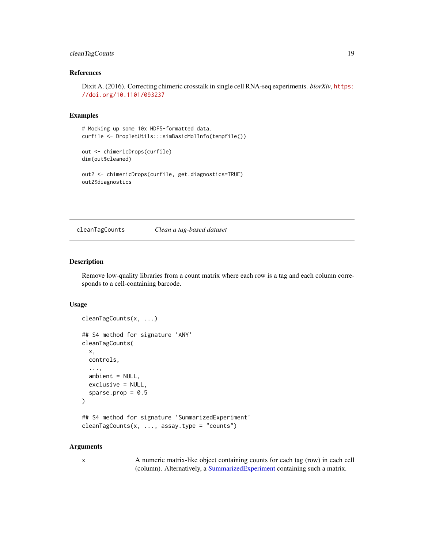## <span id="page-18-0"></span>cleanTagCounts 19

## References

Dixit A. (2016). Correcting chimeric crosstalk in single cell RNA-seq experiments. *biorXiv*, [https:](https://doi.org/10.1101/093237) [//doi.org/10.1101/093237](https://doi.org/10.1101/093237)

#### Examples

```
# Mocking up some 10x HDF5-formatted data.
curfile <- DropletUtils:::simBasicMolInfo(tempfile())
```

```
out <- chimericDrops(curfile)
dim(out$cleaned)
```

```
out2 <- chimericDrops(curfile, get.diagnostics=TRUE)
out2$diagnostics
```
<span id="page-18-1"></span>cleanTagCounts *Clean a tag-based dataset*

## Description

Remove low-quality libraries from a count matrix where each row is a tag and each column corresponds to a cell-containing barcode.

#### Usage

```
cleanTagCounts(x, ...)
## S4 method for signature 'ANY'
cleanTagCounts(
  x,
  controls,
  ...,
  ambient = NULL,exclusive = NULL,
  sparse.prop = 0.5\lambda## S4 method for signature 'SummarizedExperiment'
cleanTagCounts(x, ..., assay.type = "counts")
```
#### Arguments

x A numeric matrix-like object containing counts for each tag (row) in each cell (column). Alternatively, a [SummarizedExperiment](#page-0-0) containing such a matrix.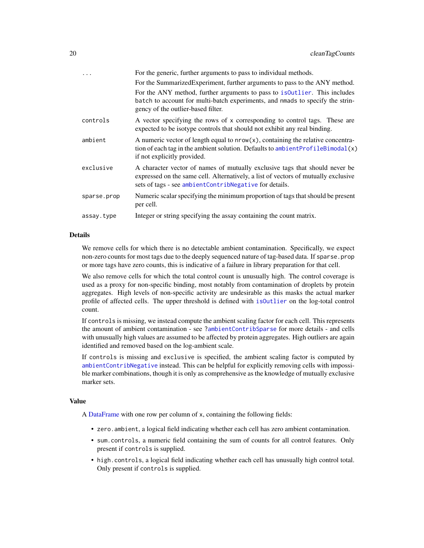<span id="page-19-0"></span>

| .           | For the generic, further arguments to pass to individual methods.                                                                                                                                                           |
|-------------|-----------------------------------------------------------------------------------------------------------------------------------------------------------------------------------------------------------------------------|
|             | For the SummarizedExperiment, further arguments to pass to the ANY method.                                                                                                                                                  |
|             | For the ANY method, further arguments to pass to isoutlier. This includes<br>batch to account for multi-batch experiments, and nmads to specify the strin-<br>gency of the outlier-based filter.                            |
| controls    | A vector specifying the rows of x corresponding to control tags. These are<br>expected to be isotype controls that should not exhibit any real binding.                                                                     |
| ambient     | A numeric vector of length equal to $nrow(x)$ , containing the relative concentra-<br>tion of each tag in the ambient solution. Defaults to ambient ProfileBimodal(x)<br>if not explicitly provided.                        |
| exclusive   | A character vector of names of mutually exclusive tags that should never be<br>expressed on the same cell. Alternatively, a list of vectors of mutually exclusive<br>sets of tags - see ambientContribNegative for details. |
| sparse.prop | Numeric scalar specifying the minimum proportion of tags that should be present<br>per cell.                                                                                                                                |
| assay.type  | Integer or string specifying the assay containing the count matrix.                                                                                                                                                         |
|             |                                                                                                                                                                                                                             |

#### Details

We remove cells for which there is no detectable ambient contamination. Specifically, we expect non-zero counts for most tags due to the deeply sequenced nature of tag-based data. If sparse, prop or more tags have zero counts, this is indicative of a failure in library preparation for that cell.

We also remove cells for which the total control count is unusually high. The control coverage is used as a proxy for non-specific binding, most notably from contamination of droplets by protein aggregates. High levels of non-specific activity are undesirable as this masks the actual marker profile of affected cells. The upper threshold is defined with [isOutlier](#page-0-0) on the log-total control count.

If controls is missing, we instead compute the ambient scaling factor for each cell. This represents the amount of ambient contamination - see [?ambientContribSparse](#page-7-1) for more details - and cells with unusually high values are assumed to be affected by protein aggregates. High outliers are again identified and removed based on the log-ambient scale.

If controls is missing and exclusive is specified, the ambient scaling factor is computed by [ambientContribNegative](#page-4-1) instead. This can be helpful for explicitly removing cells with impossible marker combinations, though it is only as comprehensive as the knowledge of mutually exclusive marker sets.

#### Value

A [DataFrame](#page-0-0) with one row per column of x, containing the following fields:

- zero.ambient, a logical field indicating whether each cell has zero ambient contamination.
- sum.controls, a numeric field containing the sum of counts for all control features. Only present if controls is supplied.
- high.controls, a logical field indicating whether each cell has unusually high control total. Only present if controls is supplied.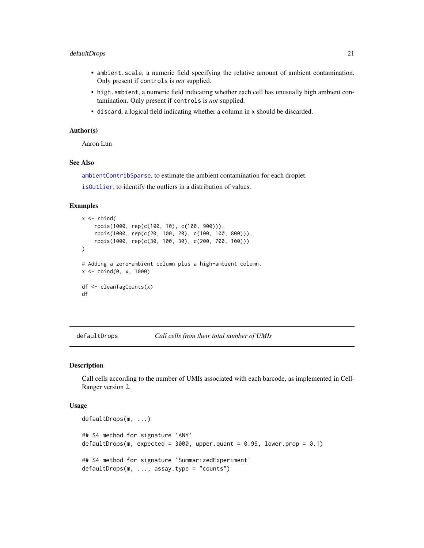#### <span id="page-20-0"></span>defaultDrops 21

- ambient.scale, a numeric field specifying the relative amount of ambient contamination. Only present if controls is *not* supplied.
- high.ambient, a numeric field indicating whether each cell has unusually high ambient contamination. Only present if controls is *not* supplied.
- discard, a logical field indicating whether a column in x should be discarded.

#### Author(s)

Aaron Lun

## See Also

[ambientContribSparse](#page-7-1), to estimate the ambient contamination for each droplet.

[isOutlier](#page-0-0), to identify the outliers in a distribution of values.

#### Examples

```
x \le - rbind(
    rpois(1000, rep(c(100, 10), c(100, 900))),
    rpois(1000, rep(c(20, 100, 20), c(100, 100, 800))),
    rpois(1000, rep(c(30, 100, 30), c(200, 700, 100)))
)
# Adding a zero-ambient column plus a high-ambient column.
x \le - \text{cbind}(0, x, 1000)df <- cleanTagCounts(x)
df
```
<span id="page-20-1"></span>defaultDrops *Call cells from their total number of UMIs*

## Description

Call cells according to the number of UMIs associated with each barcode, as implemented in Cell-Ranger version 2.

#### Usage

```
defaultDrops(m, ...)
## S4 method for signature 'ANY'
defaultDrops(m, expected = 3000, upper.quant = 0.99, lower.prop = 0.1)
## S4 method for signature 'SummarizedExperiment'
defaultDrops(m, ..., assay.type = "counts")
```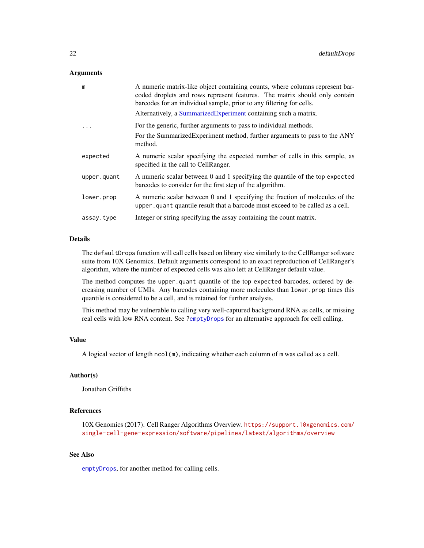#### <span id="page-21-0"></span>**Arguments**

| m           | A numeric matrix-like object containing counts, where columns represent bar-<br>coded droplets and rows represent features. The matrix should only contain<br>barcodes for an individual sample, prior to any filtering for cells. |
|-------------|------------------------------------------------------------------------------------------------------------------------------------------------------------------------------------------------------------------------------------|
|             | Alternatively, a SummarizedExperiment containing such a matrix.                                                                                                                                                                    |
| .           | For the generic, further arguments to pass to individual methods.                                                                                                                                                                  |
|             | For the SummarizedExperiment method, further arguments to pass to the ANY<br>method.                                                                                                                                               |
| expected    | A numeric scalar specifying the expected number of cells in this sample, as<br>specified in the call to CellRanger.                                                                                                                |
| upper.quant | A numeric scalar between 0 and 1 specifying the quantile of the top expected<br>barcodes to consider for the first step of the algorithm.                                                                                          |
| lower.prop  | A numeric scalar between 0 and 1 specifying the fraction of molecules of the<br>upper quantiquantile result that a barcode must exceed to be called as a cell.                                                                     |
| assay.type  | Integer or string specifying the assay containing the count matrix.                                                                                                                                                                |

## Details

The defaultDrops function will call cells based on library size similarly to the CellRanger software suite from 10X Genomics. Default arguments correspond to an exact reproduction of CellRanger's algorithm, where the number of expected cells was also left at CellRanger default value.

The method computes the upper.quant quantile of the top expected barcodes, ordered by decreasing number of UMIs. Any barcodes containing more molecules than lower.prop times this quantile is considered to be a cell, and is retained for further analysis.

This method may be vulnerable to calling very well-captured background RNA as cells, or missing real cells with low RNA content. See [?emptyDrops](#page-24-1) for an alternative approach for cell calling.

## Value

A logical vector of length ncol(m), indicating whether each column of m was called as a cell.

## Author(s)

Jonathan Griffiths

## References

10X Genomics (2017). Cell Ranger Algorithms Overview. [https://support.10xgenomics.com/](https://support.10xgenomics.com/single-cell-gene-expression/software/pipelines/latest/algorithms/overview) [single-cell-gene-expression/software/pipelines/latest/algorithms/overview](https://support.10xgenomics.com/single-cell-gene-expression/software/pipelines/latest/algorithms/overview)

## See Also

[emptyDrops](#page-24-1), for another method for calling cells.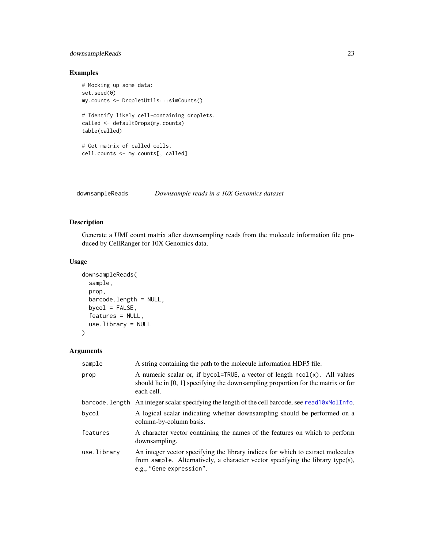## <span id="page-22-0"></span>downsampleReads 23

## Examples

```
# Mocking up some data:
set.seed(0)
my.counts <- DropletUtils:::simCounts()
# Identify likely cell-containing droplets.
called <- defaultDrops(my.counts)
table(called)
# Get matrix of called cells.
cell.counts <- my.counts[, called]
```
downsampleReads *Downsample reads in a 10X Genomics dataset*

## Description

Generate a UMI count matrix after downsampling reads from the molecule information file produced by CellRanger for 10X Genomics data.

## Usage

```
downsampleReads(
  sample,
 prop,
 barcode.length = NULL,
 bycol = FALSE,
 features = NULL,
 use.library = NULL
)
```
## Arguments

| sample      | A string containing the path to the molecule information HDF5 file.                                                                                                                           |
|-------------|-----------------------------------------------------------------------------------------------------------------------------------------------------------------------------------------------|
| prop        | A numeric scalar or, if bycol=TRUE, a vector of length $ncol(x)$ . All values<br>should lie in [0, 1] specifying the downsampling proportion for the matrix or for<br>each cell.              |
|             | barcode. Length An integer scalar specifying the length of the cell barcode, see read10xMollnfo.                                                                                              |
| bycol       | A logical scalar indicating whether downsampling should be performed on a<br>column-by-column basis.                                                                                          |
| features    | A character vector containing the names of the features on which to perform<br>downsampling.                                                                                                  |
| use.library | An integer vector specifying the library indices for which to extract molecules<br>from sample. Alternatively, a character vector specifying the library type(s),<br>e.g., "Gene expression". |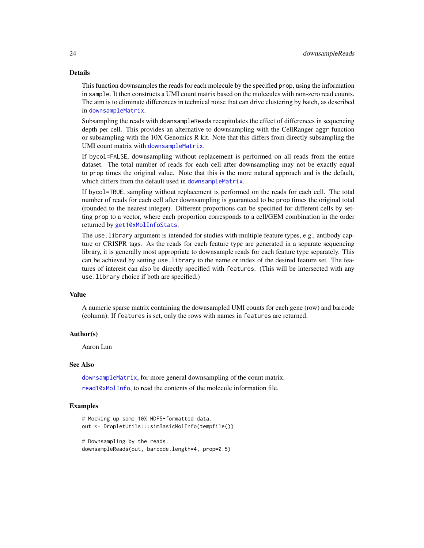#### Details

This function downsamples the reads for each molecule by the specified prop, using the information in sample. It then constructs a UMI count matrix based on the molecules with non-zero read counts. The aim is to eliminate differences in technical noise that can drive clustering by batch, as described in [downsampleMatrix](#page-0-0).

Subsampling the reads with downsampleReads recapitulates the effect of differences in sequencing depth per cell. This provides an alternative to downsampling with the CellRanger aggr function or subsampling with the 10X Genomics R kit. Note that this differs from directly subsampling the UMI count matrix with [downsampleMatrix](#page-0-0).

If bycol=FALSE, downsampling without replacement is performed on all reads from the entire dataset. The total number of reads for each cell after downsampling may not be exactly equal to prop times the original value. Note that this is the more natural approach and is the default, which differs from the default used in [downsampleMatrix](#page-0-0).

If bycol=TRUE, sampling without replacement is performed on the reads for each cell. The total number of reads for each cell after downsampling is guaranteed to be prop times the original total (rounded to the nearest integer). Different proportions can be specified for different cells by setting prop to a vector, where each proportion corresponds to a cell/GEM combination in the order returned by [get10xMolInfoStats](#page-33-1).

The use.library argument is intended for studies with multiple feature types, e.g., antibody capture or CRISPR tags. As the reads for each feature type are generated in a separate sequencing library, it is generally most appropriate to downsample reads for each feature type separately. This can be achieved by setting use.library to the name or index of the desired feature set. The features of interest can also be directly specified with features. (This will be intersected with any use.library choice if both are specified.)

#### Value

A numeric sparse matrix containing the downsampled UMI counts for each gene (row) and barcode (column). If features is set, only the rows with names in features are returned.

#### Author(s)

Aaron Lun

## See Also

[downsampleMatrix](#page-0-0), for more general downsampling of the count matrix. [read10xMolInfo](#page-44-1), to read the contents of the molecule information file.

#### Examples

```
# Mocking up some 10X HDF5-formatted data.
out <- DropletUtils:::simBasicMolInfo(tempfile())
```

```
# Downsampling by the reads.
downsampleReads(out, barcode.length=4, prop=0.5)
```
<span id="page-23-0"></span>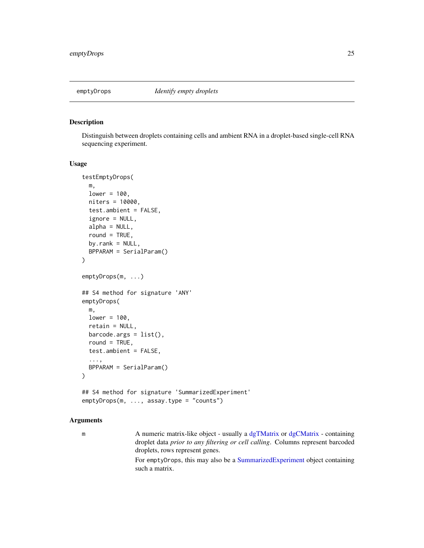<span id="page-24-1"></span><span id="page-24-0"></span>

## Description

Distinguish between droplets containing cells and ambient RNA in a droplet-based single-cell RNA sequencing experiment.

#### Usage

```
testEmptyDrops(
 m,
 lower = 100,niters = 10000,
  test.ambient = FALSE,
  ignore = NULL,
  alpha = NULL,
  round = TRUE,
 by.rank = NULL,
 BPPARAM = SerialParam()
\lambdaemptyDrops(m, ...)
## S4 method for signature 'ANY'
emptyDrops(
 m,
 lower = 100,retain = NULL,
 barcode.args = list(),
  round = TRUE,
  test.ambient = FALSE,
  ...,
 BPPARAM = SerialParam()
)
## S4 method for signature 'SummarizedExperiment'
```
## emptyDrops(m, ..., assay.type = "counts")

#### Arguments

m A numeric matrix-like object - usually a [dgTMatrix](#page-0-0) or [dgCMatrix](#page-0-0) - containing droplet data *prior to any filtering or cell calling*. Columns represent barcoded droplets, rows represent genes.

> For emptyDrops, this may also be a [SummarizedExperiment](#page-0-0) object containing such a matrix.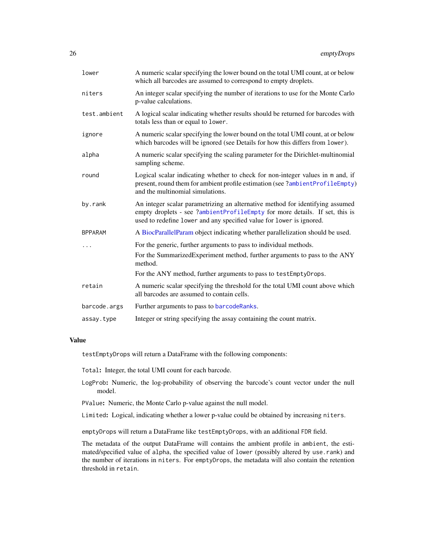<span id="page-25-0"></span>

| lower          | A numeric scalar specifying the lower bound on the total UMI count, at or below<br>which all barcodes are assumed to correspond to empty droplets.                                                                                   |
|----------------|--------------------------------------------------------------------------------------------------------------------------------------------------------------------------------------------------------------------------------------|
| niters         | An integer scalar specifying the number of iterations to use for the Monte Carlo<br>p-value calculations.                                                                                                                            |
| test.ambient   | A logical scalar indicating whether results should be returned for barcodes with<br>totals less than or equal to lower.                                                                                                              |
| ignore         | A numeric scalar specifying the lower bound on the total UMI count, at or below<br>which barcodes will be ignored (see Details for how this differs from lower).                                                                     |
| alpha          | A numeric scalar specifying the scaling parameter for the Dirichlet-multinomial<br>sampling scheme.                                                                                                                                  |
| round          | Logical scalar indicating whether to check for non-integer values in m and, if<br>present, round them for ambient profile estimation (see ?ambientProfileEmpty)<br>and the multinomial simulations.                                  |
| by.rank        | An integer scalar parametrizing an alternative method for identifying assumed<br>empty droplets - see ?ambientProfileEmpty for more details. If set, this is<br>used to redefine lower and any specified value for lower is ignored. |
| <b>BPPARAM</b> | A BiocParallelParam object indicating whether parallelization should be used.                                                                                                                                                        |
| .              | For the generic, further arguments to pass to individual methods.                                                                                                                                                                    |
|                | For the SummarizedExperiment method, further arguments to pass to the ANY<br>method.                                                                                                                                                 |
|                | For the ANY method, further arguments to pass to testEmptyDrops.                                                                                                                                                                     |
| retain         | A numeric scalar specifying the threshold for the total UMI count above which<br>all barcodes are assumed to contain cells.                                                                                                          |
| barcode.args   | Further arguments to pass to barcodeRanks.                                                                                                                                                                                           |
| assay.type     | Integer or string specifying the assay containing the count matrix.                                                                                                                                                                  |
|                |                                                                                                                                                                                                                                      |

## Value

testEmptyDrops will return a DataFrame with the following components:

Total: Integer, the total UMI count for each barcode.

- LogProb: Numeric, the log-probability of observing the barcode's count vector under the null model.
- PValue: Numeric, the Monte Carlo p-value against the null model.

Limited: Logical, indicating whether a lower p-value could be obtained by increasing niters.

emptyDrops will return a DataFrame like testEmptyDrops, with an additional FDR field.

The metadata of the output DataFrame will contains the ambient profile in ambient, the estimated/specified value of alpha, the specified value of lower (possibly altered by use.rank) and the number of iterations in niters. For emptyDrops, the metadata will also contain the retention threshold in retain.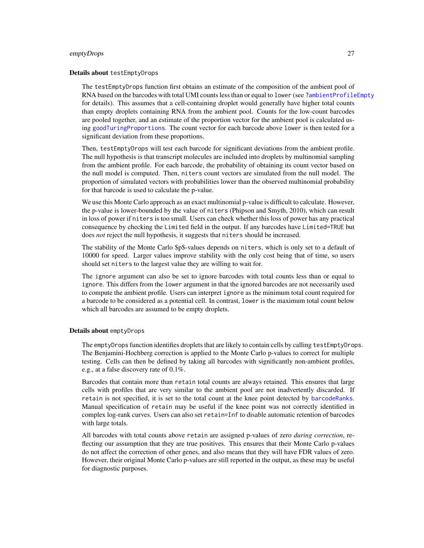#### <span id="page-26-0"></span>emptyDrops 27

#### Details about testEmptyDrops

The testEmptyDrops function first obtains an estimate of the composition of the ambient pool of RNA based on the barcodes with total UMI counts less than or equal to lower (see [?ambientProfileEmpty](#page-10-1) for details). This assumes that a cell-containing droplet would generally have higher total counts than empty droplets containing RNA from the ambient pool. Counts for the low-count barcodes are pooled together, and an estimate of the proportion vector for the ambient pool is calculated using [goodTuringProportions](#page-0-0). The count vector for each barcode above lower is then tested for a significant deviation from these proportions.

Then, testEmptyDrops will test each barcode for significant deviations from the ambient profile. The null hypothesis is that transcript molecules are included into droplets by multinomial sampling from the ambient profile. For each barcode, the probability of obtaining its count vector based on the null model is computed. Then, niters count vectors are simulated from the null model. The proportion of simulated vectors with probabilities lower than the observed multinomial probability for that barcode is used to calculate the p-value.

We use this Monte Carlo approach as an exact multinomial p-value is difficult to calculate. However, the p-value is lower-bounded by the value of niters (Phipson and Smyth, 2010), which can result in loss of power if niters is too small. Users can check whether this loss of power has any practical consequence by checking the Limited field in the output. If any barcodes have Limited=TRUE but does *not* reject the null hypothesis, it suggests that niters should be increased.

The stability of the Monte Carlo \$p\$-values depends on niters, which is only set to a default of 10000 for speed. Larger values improve stability with the only cost being that of time, so users should set niters to the largest value they are willing to wait for.

The ignore argument can also be set to ignore barcodes with total counts less than or equal to ignore. This differs from the lower argument in that the ignored barcodes are not necessarily used to compute the ambient profile. Users can interpret ignore as the minimum total count required for a barcode to be considered as a potential cell. In contrast, lower is the maximum total count below which all barcodes are assumed to be empty droplets.

#### Details about emptyDrops

The emptyDrops function identifies droplets that are likely to contain cells by calling testEmptyDrops. The Benjamini-Hochberg correction is applied to the Monte Carlo p-values to correct for multiple testing. Cells can then be defined by taking all barcodes with significantly non-ambient profiles, e.g., at a false discovery rate of 0.1%.

Barcodes that contain more than retain total counts are always retained. This ensures that large cells with profiles that are very similar to the ambient pool are not inadvertently discarded. If retain is not specified, it is set to the total count at the knee point detected by [barcodeRanks](#page-13-1). Manual specification of retain may be useful if the knee point was not correctly identified in complex log-rank curves. Users can also set retain=Inf to disable automatic retention of barcodes with large totals.

All barcodes with total counts above retain are assigned p-values of zero *during correction*, reflecting our assumption that they are true positives. This ensures that their Monte Carlo p-values do not affect the correction of other genes, and also means that they will have FDR values of zero. However, their original Monte Carlo p-values are still reported in the output, as these may be useful for diagnostic purposes.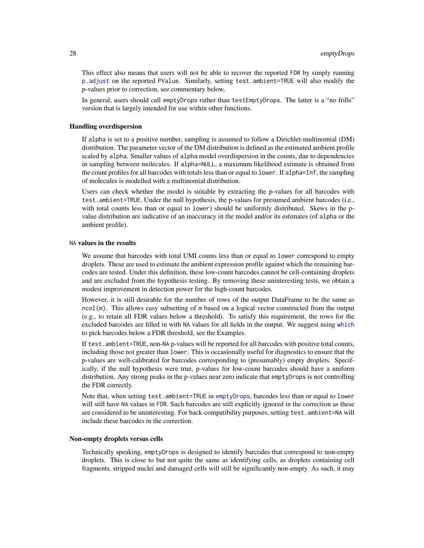<span id="page-27-0"></span>This effect also means that users will not be able to recover the reported FDR by simply running [p.adjust](#page-0-0) on the reported PValue. Similarly, setting test.ambient=TRUE will also modify the p-values prior to correction, see commentary below.

In general, users should call emptyDrops rather than testEmptyDrops. The latter is a "no frills" version that is largely intended for use within other functions.

#### Handling overdispersion

If alpha is set to a positive number, sampling is assumed to follow a Dirichlet-multinomial (DM) distribution. The parameter vector of the DM distribution is defined as the estimated ambient profile scaled by alpha. Smaller values of alpha model overdispersion in the counts, due to dependencies in sampling between molecules. If alpha=NULL, a maximum likelihood estimate is obtained from the count profiles for all barcodes with totals less than or equal to lower. If alpha=Inf, the sampling of molecules is modelled with a multinomial distribution.

Users can check whether the model is suitable by extracting the p-values for all barcodes with test.ambient=TRUE. Under the null hypothesis, the p-values for presumed ambient barcodes (i.e., with total counts less than or equal to lower) should be uniformly distributed. Skews in the pvalue distribution are indicative of an inaccuracy in the model and/or its estimates (of alpha or the ambient profile).

## NA values in the results

We assume that barcodes with total UMI counts less than or equal to lower correspond to empty droplets. These are used to estimate the ambient expression profile against which the remaining barcodes are tested. Under this definition, these low-count barcodes cannot be cell-containing droplets and are excluded from the hypothesis testing. By removing these uninteresting tests, we obtain a modest improvement in detection power for the high-count barcodes.

However, it is still desirable for the number of rows of the output DataFrame to be the same as ncol(m). This allows easy subsetting of m based on a logical vector constructed from the output (e.g., to retain all FDR values below a threshold). To satisfy this requirement, the rows for the excluded barcodes are filled in with NA values for all fields in the output. We suggest using [which](#page-0-0) to pick barcodes below a FDR threshold, see the Examples.

If test. ambient=TRUE, non-NA p-values will be reported for all barcodes with positive total counts, including those not greater than lower. This is occasionally useful for diagnostics to ensure that the p-values are well-calibrated for barcodes corresponding to (presumably) empty droplets. Specifically, if the null hypothesis were true, p-values for low-count barcodes should have a uniform distribution. Any strong peaks in the p-values near zero indicate that emptyDrops is not controlling the FDR correctly.

Note that, when setting test.ambient=TRUE in [emptyDrops](#page-24-1), barcodes less than or equal to lower will still have NA values in FDR. Such barcodes are still explicitly ignored in the correction as these are considered to be uninteresting. For back-compatibility purposes, setting test.ambient=NA will include these barcodes in the correction.

#### Non-empty droplets versus cells

Technically speaking, emptyDrops is designed to identify barcodes that correspond to non-empty droplets. This is close to but not quite the same as identifying cells, as droplets containing cell fragments, stripped nuclei and damaged cells will still be significantly non-empty. As such, it may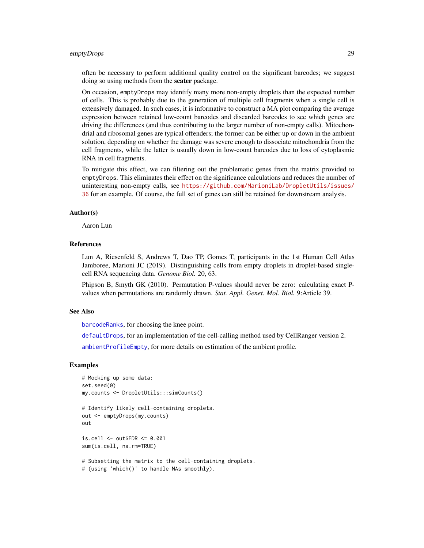#### <span id="page-28-0"></span>emptyDrops 29

often be necessary to perform additional quality control on the significant barcodes; we suggest doing so using methods from the **scater** package.

On occasion, emptyDrops may identify many more non-empty droplets than the expected number of cells. This is probably due to the generation of multiple cell fragments when a single cell is extensively damaged. In such cases, it is informative to construct a MA plot comparing the average expression between retained low-count barcodes and discarded barcodes to see which genes are driving the differences (and thus contributing to the larger number of non-empty calls). Mitochondrial and ribosomal genes are typical offenders; the former can be either up or down in the ambient solution, depending on whether the damage was severe enough to dissociate mitochondria from the cell fragments, while the latter is usually down in low-count barcodes due to loss of cytoplasmic RNA in cell fragments.

To mitigate this effect, we can filtering out the problematic genes from the matrix provided to emptyDrops. This eliminates their effect on the significance calculations and reduces the number of uninteresting non-empty calls, see [https://github.com/MarioniLab/DropletUtils/issues/](https://github.com/MarioniLab/DropletUtils/issues/36) [36](https://github.com/MarioniLab/DropletUtils/issues/36) for an example. Of course, the full set of genes can still be retained for downstream analysis.

## Author(s)

Aaron Lun

#### References

Lun A, Riesenfeld S, Andrews T, Dao TP, Gomes T, participants in the 1st Human Cell Atlas Jamboree, Marioni JC (2019). Distinguishing cells from empty droplets in droplet-based singlecell RNA sequencing data. *Genome Biol.* 20, 63.

Phipson B, Smyth GK (2010). Permutation P-values should never be zero: calculating exact Pvalues when permutations are randomly drawn. *Stat. Appl. Genet. Mol. Biol.* 9:Article 39.

## See Also

[barcodeRanks](#page-13-1), for choosing the knee point.

[defaultDrops](#page-20-1), for an implementation of the cell-calling method used by CellRanger version 2.

[ambientProfileEmpty](#page-10-1), for more details on estimation of the ambient profile.

## Examples

```
# Mocking up some data:
set.seed(0)
my.counts <- DropletUtils:::simCounts()
# Identify likely cell-containing droplets.
out <- emptyDrops(my.counts)
out
is.cell <- out$FDR <= 0.001
sum(is.cell, na.rm=TRUE)
# Subsetting the matrix to the cell-containing droplets.
# (using 'which()' to handle NAs smoothly).
```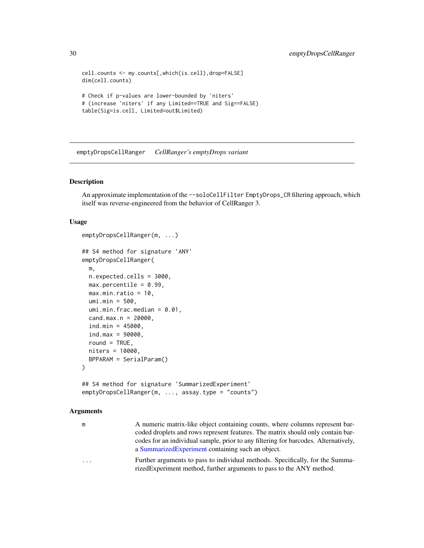```
cell.counts <- my.counts[,which(is.cell),drop=FALSE]
dim(cell.counts)
# Check if p-values are lower-bounded by 'niters'
# (increase 'niters' if any Limited==TRUE and Sig==FALSE)
table(Sig=is.cell, Limited=out$Limited)
```
emptyDropsCellRanger *CellRanger's emptyDrops variant*

## Description

An approximate implementation of the --soloCellFilter EmptyDrops\_CR filtering approach, which itself was reverse-engineered from the behavior of CellRanger 3.

#### Usage

```
emptyDropsCellRanger(m, ...)
## S4 method for signature 'ANY'
emptyDropsCellRanger(
 m,
 n.expected.cells = 3000,
 max.percentile = 0.99,
 max.min.ratio = 10,
 umi.min = 500,
  umi.min.frac.median = <math>0.01</math>,cand.max.n = 20000,ind.min = 45000,
  ind.max = 90000,round = TRUE,
 niters = 10000,
 BPPARAM = SerialParam()
\lambda## S4 method for signature 'SummarizedExperiment'
emptyDropsCellRanger(m, ..., assay.type = "counts")
```
## Arguments

| m | A numeric matrix-like object containing counts, where columns represent bar-        |
|---|-------------------------------------------------------------------------------------|
|   | coded droplets and rows represent features. The matrix should only contain bar-     |
|   | codes for an individual sample, prior to any filtering for barcodes. Alternatively, |
|   | a Summarized Experiment containing such an object.                                  |

... Further arguments to pass to individual methods. Specifically, for the SummarizedExperiment method, further arguments to pass to the ANY method.

<span id="page-29-0"></span>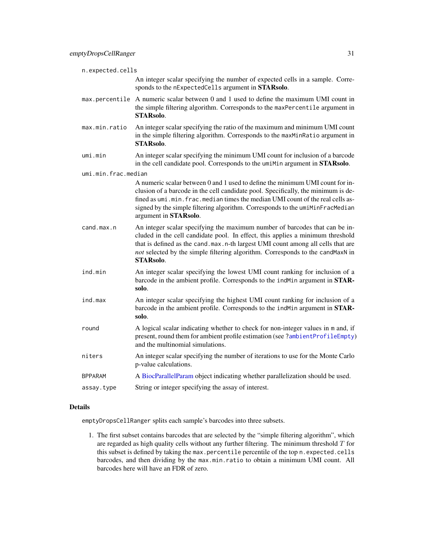<span id="page-30-0"></span>

| n.expected.cells    |                                                                                                                                                                                                                                                                                                                                                               |
|---------------------|---------------------------------------------------------------------------------------------------------------------------------------------------------------------------------------------------------------------------------------------------------------------------------------------------------------------------------------------------------------|
|                     | An integer scalar specifying the number of expected cells in a sample. Corre-<br>sponds to the nExpectedCells argument in STARsolo.                                                                                                                                                                                                                           |
| max.percentile      | A numeric scalar between 0 and 1 used to define the maximum UMI count in<br>the simple filtering algorithm. Corresponds to the maxPercentile argument in<br>STARsolo.                                                                                                                                                                                         |
| max.min.ratio       | An integer scalar specifying the ratio of the maximum and minimum UMI count<br>in the simple filtering algorithm. Corresponds to the maxMinRatio argument in<br><b>STARsolo.</b>                                                                                                                                                                              |
| umi.min             | An integer scalar specifying the minimum UMI count for inclusion of a barcode<br>in the cell candidate pool. Corresponds to the umiMin argument in STARsolo.                                                                                                                                                                                                  |
| umi.min.frac.median |                                                                                                                                                                                                                                                                                                                                                               |
|                     | A numeric scalar between 0 and 1 used to define the minimum UMI count for in-<br>clusion of a barcode in the cell candidate pool. Specifically, the minimum is de-<br>fined as umi.min.frac.median times the median UMI count of the real cells as-<br>signed by the simple filtering algorithm. Corresponds to the umiMinFracMedian<br>argument in STARsolo. |
| cand.max.n          | An integer scalar specifying the maximum number of barcodes that can be in-<br>cluded in the cell candidate pool. In effect, this applies a minimum threshold<br>that is defined as the cand. max. n-th largest UMI count among all cells that are<br>not selected by the simple filtering algorithm. Corresponds to the candMaxN in<br><b>STARsolo.</b>      |
| ind.min             | An integer scalar specifying the lowest UMI count ranking for inclusion of a<br>barcode in the ambient profile. Corresponds to the indMin argument in STAR-<br>solo.                                                                                                                                                                                          |
| ind.max             | An integer scalar specifying the highest UMI count ranking for inclusion of a<br>barcode in the ambient profile. Corresponds to the indMin argument in STAR-<br>solo.                                                                                                                                                                                         |
| round               | A logical scalar indicating whether to check for non-integer values in m and, if<br>present, round them for ambient profile estimation (see ?ambientProfileEmpty)<br>and the multinomial simulations.                                                                                                                                                         |
| niters              | An integer scalar specifying the number of iterations to use for the Monte Carlo<br>p-value calculations.                                                                                                                                                                                                                                                     |
| <b>BPPARAM</b>      | A BiocParallelParam object indicating whether parallelization should be used.                                                                                                                                                                                                                                                                                 |
| assay.type          | String or integer specifying the assay of interest.                                                                                                                                                                                                                                                                                                           |

## Details

emptyDropsCellRanger splits each sample's barcodes into three subsets.

1. The first subset contains barcodes that are selected by the "simple filtering algorithm", which are regarded as high quality cells without any further filtering. The minimum threshold  $T$  for this subset is defined by taking the max.percentile percentile of the top n.expected.cells barcodes, and then dividing by the max.min.ratio to obtain a minimum UMI count. All barcodes here will have an FDR of zero.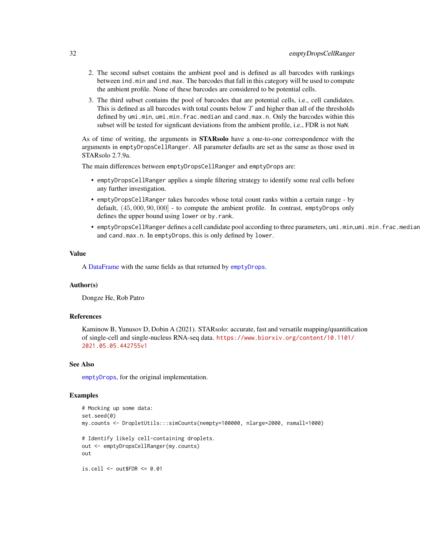- <span id="page-31-0"></span>2. The second subset contains the ambient pool and is defined as all barcodes with rankings between ind.min and ind.max. The barcodes that fall in this category will be used to compute the ambient profile. None of these barcodes are considered to be potential cells.
- 3. The third subset contains the pool of barcodes that are potential cells, i.e., cell candidates. This is defined as all barcodes with total counts below  $T$  and higher than all of the thresholds defined by umi.min, umi.min.frac.median and cand.max.n. Only the barcodes within this subset will be tested for signficant deviations from the ambient profile, i.e., FDR is not NaN.

As of time of writing, the arguments in STARsolo have a one-to-one correspondence with the arguments in emptyDropsCellRanger. All parameter defaults are set as the same as those used in STARsolo 2.7.9a.

The main differences between emptyDropsCellRanger and emptyDrops are:

- emptyDropsCellRanger applies a simple filtering strategy to identify some real cells before any further investigation.
- emptyDropsCellRanger takes barcodes whose total count ranks within a certain range by default, (45, 000, 90, 000] - to compute the ambient profile. In contrast, emptyDrops only defines the upper bound using lower or by.rank.
- emptyDropsCellRanger defines a cell candidate pool according to three parameters, umi.min,umi.min.frac.median and cand.max.n. In emptyDrops, this is only defined by lower.

#### Value

A [DataFrame](#page-0-0) with the same fields as that returned by [emptyDrops](#page-24-1).

## Author(s)

Dongze He, Rob Patro

#### References

Kaminow B, Yunusov D, Dobin A (2021). STARsolo: accurate, fast and versatile mapping/quantification of single-cell and single-nucleus RNA-seq data. [https://www.biorxiv.org/content/10.1101/](https://www.biorxiv.org/content/10.1101/2021.05.05.442755v1) [2021.05.05.442755v1](https://www.biorxiv.org/content/10.1101/2021.05.05.442755v1)

#### See Also

[emptyDrops](#page-24-1), for the original implementation.

#### Examples

```
# Mocking up some data:
set.seed(0)
my.counts <- DropletUtils:::simCounts(nempty=100000, nlarge=2000, nsmall=1000)
# Identify likely cell-containing droplets.
out <- emptyDropsCellRanger(my.counts)
out
is.cell <- out$FDR <= 0.01
```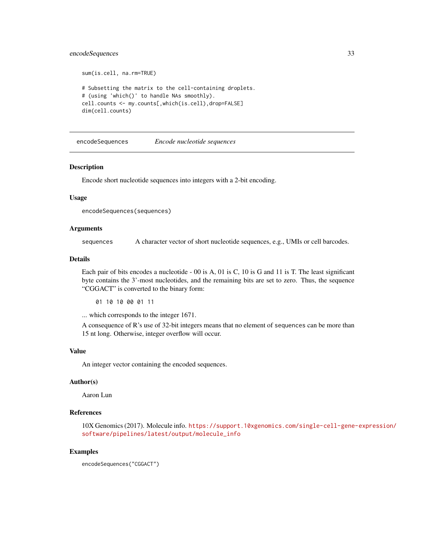## <span id="page-32-0"></span>encodeSequences 33

```
sum(is.cell, na.rm=TRUE)
# Subsetting the matrix to the cell-containing droplets.
# (using 'which()' to handle NAs smoothly).
cell.counts <- my.counts[,which(is.cell),drop=FALSE]
dim(cell.counts)
```
<span id="page-32-1"></span>encodeSequences *Encode nucleotide sequences*

## Description

Encode short nucleotide sequences into integers with a 2-bit encoding.

## Usage

```
encodeSequences(sequences)
```
## Arguments

sequences A character vector of short nucleotide sequences, e.g., UMIs or cell barcodes.

#### Details

Each pair of bits encodes a nucleotide - 00 is A, 01 is C, 10 is G and 11 is T. The least significant byte contains the 3'-most nucleotides, and the remaining bits are set to zero. Thus, the sequence "CGGACT" is converted to the binary form:

01 10 10 00 01 11

... which corresponds to the integer 1671.

A consequence of R's use of 32-bit integers means that no element of sequences can be more than 15 nt long. Otherwise, integer overflow will occur.

## Value

An integer vector containing the encoded sequences.

### Author(s)

Aaron Lun

#### References

10X Genomics (2017). Molecule info. [https://support.10xgenomics.com/single-cell-gene-](https://support.10xgenomics.com/single-cell-gene-expression/software/pipelines/latest/output/molecule_info)expression/ [software/pipelines/latest/output/molecule\\_info](https://support.10xgenomics.com/single-cell-gene-expression/software/pipelines/latest/output/molecule_info)

#### Examples

encodeSequences("CGGACT")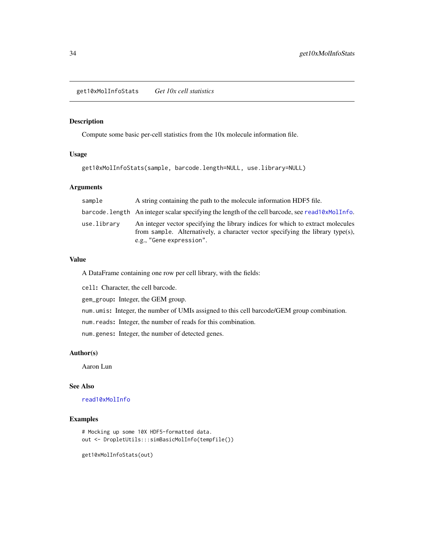<span id="page-33-1"></span><span id="page-33-0"></span>get10xMolInfoStats *Get 10x cell statistics*

## Description

Compute some basic per-cell statistics from the 10x molecule information file.

## Usage

```
get10xMolInfoStats(sample, barcode.length=NULL, use.library=NULL)
```
## Arguments

| sample      | A string containing the path to the molecule information HDF5 file.                                                                                                                           |
|-------------|-----------------------------------------------------------------------------------------------------------------------------------------------------------------------------------------------|
|             | barcode.length An integer scalar specifying the length of the cell barcode, see read10xMolInfo.                                                                                               |
| use.library | An integer vector specifying the library indices for which to extract molecules<br>from sample. Alternatively, a character vector specifying the library type(s),<br>e.g., "Gene expression". |

## Value

A DataFrame containing one row per cell library, with the fields:

cell: Character, the cell barcode.

gem\_group: Integer, the GEM group.

num.umis: Integer, the number of UMIs assigned to this cell barcode/GEM group combination.

num.reads: Integer, the number of reads for this combination.

num.genes: Integer, the number of detected genes.

## Author(s)

Aaron Lun

## See Also

## [read10xMolInfo](#page-44-1)

## Examples

```
# Mocking up some 10X HDF5-formatted data.
out <- DropletUtils:::simBasicMolInfo(tempfile())
```
get10xMolInfoStats(out)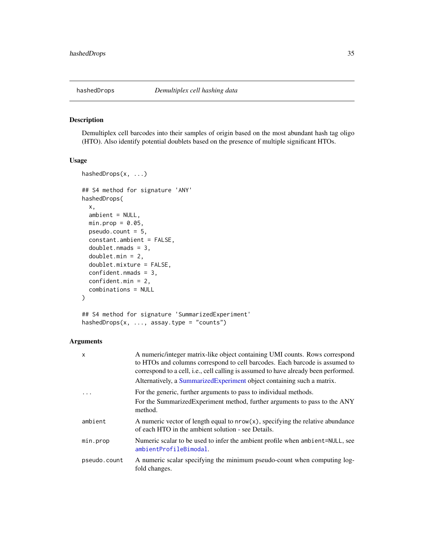<span id="page-34-1"></span><span id="page-34-0"></span>

#### Description

Demultiplex cell barcodes into their samples of origin based on the most abundant hash tag oligo (HTO). Also identify potential doublets based on the presence of multiple significant HTOs.

## Usage

```
hashedDrops(x, ...)
## S4 method for signature 'ANY'
hashedDrops(
  x,
  ambient = NULL,
 min.prop = 0.05,
 pseudo.count = 5,
  constant.ambient = FALSE,
  doublet.nmads = 3,
  doublet.min = 2,
  doublet.mixture = FALSE,
  confident.nmads = 3,
  confident.min = 2,
  combinations = NULL
)
## S4 method for signature 'SummarizedExperiment'
```

```
hashedDrops(x, ..., assay.type = "counts")
```
## Arguments

| X            | A numeric/integer matrix-like object containing UMI counts. Rows correspond<br>to HTOs and columns correspond to cell barcodes. Each barcode is assumed to<br>correspond to a cell, i.e., cell calling is assumed to have already been performed.<br>Alternatively, a Summarized Experiment object containing such a matrix. |
|--------------|------------------------------------------------------------------------------------------------------------------------------------------------------------------------------------------------------------------------------------------------------------------------------------------------------------------------------|
|              | For the generic, further arguments to pass to individual methods.<br>For the SummarizedExperiment method, further arguments to pass to the ANY<br>method.                                                                                                                                                                    |
| ambient      | A numeric vector of length equal to $nrow(x)$ , specifying the relative abundance<br>of each HTO in the ambient solution - see Details.                                                                                                                                                                                      |
| min.prop     | Numeric scalar to be used to infer the ambient profile when ambient=NULL, see<br>ambientProfileBimodal.                                                                                                                                                                                                                      |
| pseudo.count | A numeric scalar specifying the minimum pseudo-count when computing log-<br>fold changes.                                                                                                                                                                                                                                    |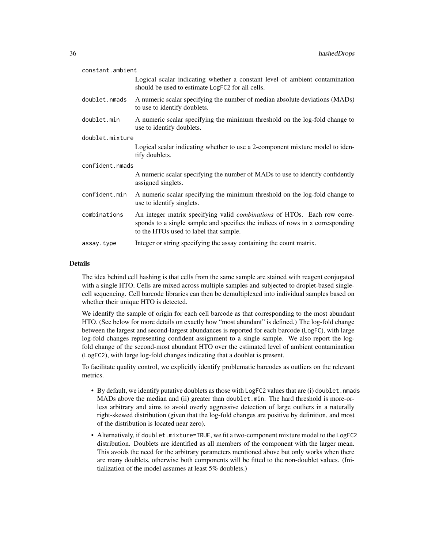| constant.ambient |                                                                                                                                                                                                             |  |
|------------------|-------------------------------------------------------------------------------------------------------------------------------------------------------------------------------------------------------------|--|
|                  | Logical scalar indicating whether a constant level of ambient contamination<br>should be used to estimate LogFC2 for all cells.                                                                             |  |
| doublet.nmads    | A numeric scalar specifying the number of median absolute deviations (MADs)<br>to use to identify doublets.                                                                                                 |  |
| doublet.min      | A numeric scalar specifying the minimum threshold on the log-fold change to<br>use to identify doublets.                                                                                                    |  |
| doublet.mixture  |                                                                                                                                                                                                             |  |
|                  | Logical scalar indicating whether to use a 2-component mixture model to iden-<br>tify doublets.                                                                                                             |  |
| confident.nmads  |                                                                                                                                                                                                             |  |
|                  | A numeric scalar specifying the number of MADs to use to identify confidently<br>assigned singlets.                                                                                                         |  |
| confident.min    | A numeric scalar specifying the minimum threshold on the log-fold change to<br>use to identify singlets.                                                                                                    |  |
|                  |                                                                                                                                                                                                             |  |
| combinations     | An integer matrix specifying valid <i>combinations</i> of HTOs. Each row corre-<br>sponds to a single sample and specifies the indices of rows in x corresponding<br>to the HTOs used to label that sample. |  |

## Details

The idea behind cell hashing is that cells from the same sample are stained with reagent conjugated with a single HTO. Cells are mixed across multiple samples and subjected to droplet-based singlecell sequencing. Cell barcode libraries can then be demultiplexed into individual samples based on whether their unique HTO is detected.

We identify the sample of origin for each cell barcode as that corresponding to the most abundant HTO. (See below for more details on exactly how "most abundant" is defined.) The log-fold change between the largest and second-largest abundances is reported for each barcode (LogFC), with large log-fold changes representing confident assignment to a single sample. We also report the logfold change of the second-most abundant HTO over the estimated level of ambient contamination (LogFC2), with large log-fold changes indicating that a doublet is present.

To facilitate quality control, we explicitly identify problematic barcodes as outliers on the relevant metrics.

- By default, we identify putative doublets as those with LogFC2 values that are (i) doublet.nmads MADs above the median and (ii) greater than doublet.min. The hard threshold is more-orless arbitrary and aims to avoid overly aggressive detection of large outliers in a naturally right-skewed distribution (given that the log-fold changes are positive by definition, and most of the distribution is located near zero).
- Alternatively, if doublet.mixture=TRUE, we fit a two-component mixture model to the LogFC2 distribution. Doublets are identified as all members of the component with the larger mean. This avoids the need for the arbitrary parameters mentioned above but only works when there are many doublets, otherwise both components will be fitted to the non-doublet values. (Initialization of the model assumes at least 5% doublets.)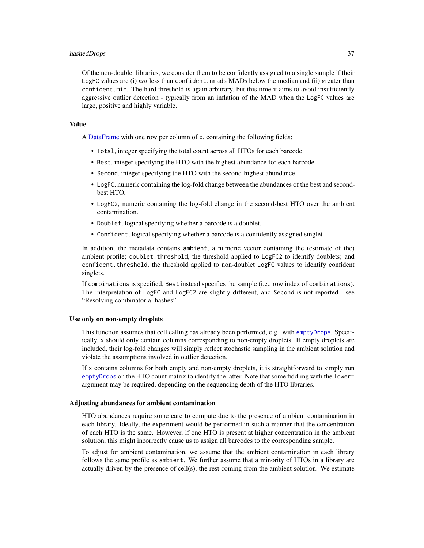#### <span id="page-36-0"></span>hashedDrops 37

Of the non-doublet libraries, we consider them to be confidently assigned to a single sample if their LogFC values are (i) *not* less than confident. nmads MADs below the median and (ii) greater than confident.min. The hard threshold is again arbitrary, but this time it aims to avoid insufficiently aggressive outlier detection - typically from an inflation of the MAD when the LogFC values are large, positive and highly variable.

#### Value

A [DataFrame](#page-0-0) with one row per column of x, containing the following fields:

- Total, integer specifying the total count across all HTOs for each barcode.
- Best, integer specifying the HTO with the highest abundance for each barcode.
- Second, integer specifying the HTO with the second-highest abundance.
- LogFC, numeric containing the log-fold change between the abundances of the best and secondbest HTO.
- LogFC2, numeric containing the log-fold change in the second-best HTO over the ambient contamination.
- Doublet, logical specifying whether a barcode is a doublet.
- Confident, logical specifying whether a barcode is a confidently assigned singlet.

In addition, the metadata contains ambient, a numeric vector containing the (estimate of the) ambient profile; doublet.threshold, the threshold applied to LogFC2 to identify doublets; and confident.threshold, the threshold applied to non-doublet LogFC values to identify confident singlets.

If combinations is specified, Best instead specifies the sample (i.e., row index of combinations). The interpretation of LogFC and LogFC2 are slightly different, and Second is not reported - see "Resolving combinatorial hashes".

#### Use only on non-empty droplets

This function assumes that cell calling has already been performed, e.g., with [emptyDrops](#page-24-1). Specifically, x should only contain columns corresponding to non-empty droplets. If empty droplets are included, their log-fold changes will simply reflect stochastic sampling in the ambient solution and violate the assumptions involved in outlier detection.

If x contains columns for both empty and non-empty droplets, it is straightforward to simply run [emptyDrops](#page-24-1) on the HTO count matrix to identify the latter. Note that some fiddling with the lower= argument may be required, depending on the sequencing depth of the HTO libraries.

#### Adjusting abundances for ambient contamination

HTO abundances require some care to compute due to the presence of ambient contamination in each library. Ideally, the experiment would be performed in such a manner that the concentration of each HTO is the same. However, if one HTO is present at higher concentration in the ambient solution, this might incorrectly cause us to assign all barcodes to the corresponding sample.

To adjust for ambient contamination, we assume that the ambient contamination in each library follows the same profile as ambient. We further assume that a minority of HTOs in a library are actually driven by the presence of cell(s), the rest coming from the ambient solution. We estimate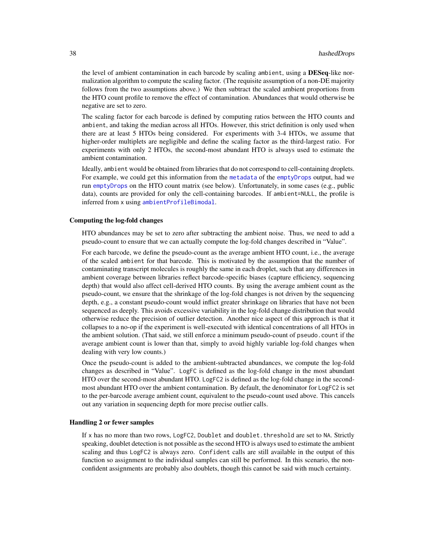<span id="page-37-0"></span>the level of ambient contamination in each barcode by scaling ambient, using a DESeq-like normalization algorithm to compute the scaling factor. (The requisite assumption of a non-DE majority follows from the two assumptions above.) We then subtract the scaled ambient proportions from the HTO count profile to remove the effect of contamination. Abundances that would otherwise be negative are set to zero.

The scaling factor for each barcode is defined by computing ratios between the HTO counts and ambient, and taking the median across all HTOs. However, this strict definition is only used when there are at least 5 HTOs being considered. For experiments with 3-4 HTOs, we assume that higher-order multiplets are negligible and define the scaling factor as the third-largest ratio. For experiments with only 2 HTOs, the second-most abundant HTO is always used to estimate the ambient contamination.

Ideally, ambient would be obtained from libraries that do not correspond to cell-containing droplets. For example, we could get this information from the [metadata](#page-0-0) of the [emptyDrops](#page-24-1) output, had we run [emptyDrops](#page-24-1) on the HTO count matrix (see below). Unfortunately, in some cases (e.g., public data), counts are provided for only the cell-containing barcodes. If ambient=NULL, the profile is inferred from x using [ambientProfileBimodal](#page-9-1).

#### Computing the log-fold changes

HTO abundances may be set to zero after subtracting the ambient noise. Thus, we need to add a pseudo-count to ensure that we can actually compute the log-fold changes described in "Value".

For each barcode, we define the pseudo-count as the average ambient HTO count, i.e., the average of the scaled ambient for that barcode. This is motivated by the assumption that the number of contaminating transcript molecules is roughly the same in each droplet, such that any differences in ambient coverage between libraries reflect barcode-specific biases (capture efficiency, sequencing depth) that would also affect cell-derived HTO counts. By using the average ambient count as the pseudo-count, we ensure that the shrinkage of the log-fold changes is not driven by the sequencing depth, e.g., a constant pseudo-count would inflict greater shrinkage on libraries that have not been sequenced as deeply. This avoids excessive variability in the log-fold change distribution that would otherwise reduce the precision of outlier detection. Another nice aspect of this approach is that it collapses to a no-op if the experiment is well-executed with identical concentrations of all HTOs in the ambient solution. (That said, we still enforce a minimum pseudo-count of pseudo.count if the average ambient count is lower than that, simply to avoid highly variable log-fold changes when dealing with very low counts.)

Once the pseudo-count is added to the ambient-subtracted abundances, we compute the log-fold changes as described in "Value". LogFC is defined as the log-fold change in the most abundant HTO over the second-most abundant HTO. LogFC2 is defined as the log-fold change in the secondmost abundant HTO over the ambient contamination. By default, the denominator for LogFC2 is set to the per-barcode average ambient count, equivalent to the pseudo-count used above. This cancels out any variation in sequencing depth for more precise outlier calls.

#### Handling 2 or fewer samples

If x has no more than two rows, LogFC2, Doublet and doublet. threshold are set to NA. Strictly speaking, doublet detection is not possible as the second HTO is always used to estimate the ambient scaling and thus LogFC2 is always zero. Confident calls are still available in the output of this function so assignment to the individual samples can still be performed. In this scenario, the nonconfident assignments are probably also doublets, though this cannot be said with much certainty.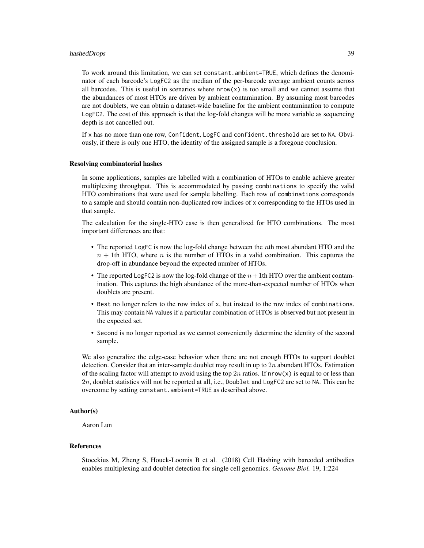#### hashedDrops 39

To work around this limitation, we can set constant.ambient=TRUE, which defines the denominator of each barcode's LogFC2 as the median of the per-barcode average ambient counts across all barcodes. This is useful in scenarios where  $now(x)$  is too small and we cannot assume that the abundances of most HTOs are driven by ambient contamination. By assuming most barcodes are not doublets, we can obtain a dataset-wide baseline for the ambient contamination to compute LogFC2. The cost of this approach is that the log-fold changes will be more variable as sequencing depth is not cancelled out.

If x has no more than one row, Confident, LogFC and confident, threshold are set to NA. Obviously, if there is only one HTO, the identity of the assigned sample is a foregone conclusion.

#### Resolving combinatorial hashes

In some applications, samples are labelled with a combination of HTOs to enable achieve greater multiplexing throughput. This is accommodated by passing combinations to specify the valid HTO combinations that were used for sample labelling. Each row of combinations corresponds to a sample and should contain non-duplicated row indices of x corresponding to the HTOs used in that sample.

The calculation for the single-HTO case is then generalized for HTO combinations. The most important differences are that:

- The reported LogFC is now the log-fold change between the nth most abundant HTO and the  $n + 1$ th HTO, where n is the number of HTOs in a valid combination. This captures the drop-off in abundance beyond the expected number of HTOs.
- The reported LogFC2 is now the log-fold change of the  $n+1$ th HTO over the ambient contamination. This captures the high abundance of the more-than-expected number of HTOs when doublets are present.
- Best no longer refers to the row index of x, but instead to the row index of combinations. This may contain NA values if a particular combination of HTOs is observed but not present in the expected set.
- Second is no longer reported as we cannot conveniently determine the identity of the second sample.

We also generalize the edge-case behavior when there are not enough HTOs to support doublet detection. Consider that an inter-sample doublet may result in up to  $2n$  abundant HTOs. Estimation of the scaling factor will attempt to avoid using the top  $2n$  ratios. If nrow(x) is equal to or less than  $2n$ , doublet statistics will not be reported at all, i.e., Doublet and LogFC2 are set to NA. This can be overcome by setting constant.ambient=TRUE as described above.

## Author(s)

Aaron Lun

#### References

Stoeckius M, Zheng S, Houck-Loomis B et al. (2018) Cell Hashing with barcoded antibodies enables multiplexing and doublet detection for single cell genomics. *Genome Biol.* 19, 1:224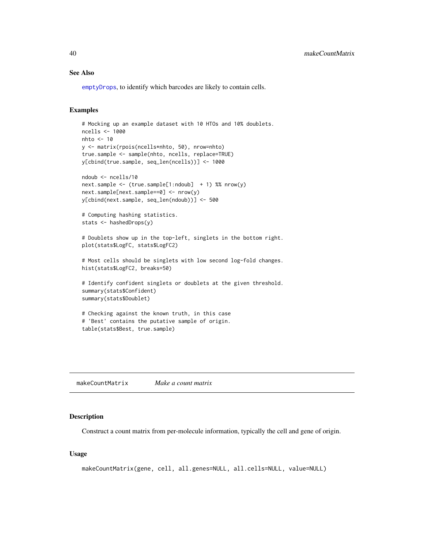#### See Also

[emptyDrops](#page-24-1), to identify which barcodes are likely to contain cells.

## Examples

```
# Mocking up an example dataset with 10 HTOs and 10% doublets.
ncells <- 1000
nhto < -10y <- matrix(rpois(ncells*nhto, 50), nrow=nhto)
true.sample <- sample(nhto, ncells, replace=TRUE)
y[cbind(true.sample, seq_len(ncells))] <- 1000
ndoub <- ncells/10
next.sample <- (true.sample[1:ndoub] + 1) %% nrow(y)
next.sample[next.sample==0] <- nrow(y)
y[cbind(next.sample, seq_len(ndoub))] <- 500
# Computing hashing statistics.
stats <- hashedDrops(y)
# Doublets show up in the top-left, singlets in the bottom right.
plot(stats$LogFC, stats$LogFC2)
# Most cells should be singlets with low second log-fold changes.
hist(stats$LogFC2, breaks=50)
# Identify confident singlets or doublets at the given threshold.
summary(stats$Confident)
summary(stats$Doublet)
# Checking against the known truth, in this case
# 'Best' contains the putative sample of origin.
table(stats$Best, true.sample)
```
<span id="page-39-1"></span>makeCountMatrix *Make a count matrix*

#### Description

Construct a count matrix from per-molecule information, typically the cell and gene of origin.

#### Usage

```
makeCountMatrix(gene, cell, all.genes=NULL, all.cells=NULL, value=NULL)
```
<span id="page-39-0"></span>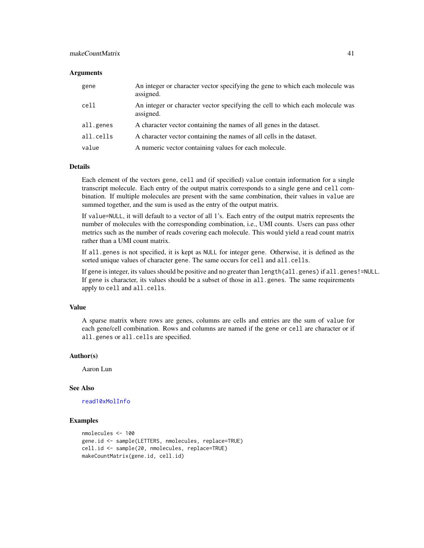## <span id="page-40-0"></span>makeCountMatrix 41

#### **Arguments**

| gene      | An integer or character vector specifying the gene to which each molecule was<br>assigned. |
|-----------|--------------------------------------------------------------------------------------------|
| cell      | An integer or character vector specifying the cell to which each molecule was<br>assigned. |
| all.genes | A character vector containing the names of all genes in the dataset.                       |
| all.cells | A character vector containing the names of all cells in the dataset.                       |
| value     | A numeric vector containing values for each molecule.                                      |

#### Details

Each element of the vectors gene, cell and (if specified) value contain information for a single transcript molecule. Each entry of the output matrix corresponds to a single gene and cell combination. If multiple molecules are present with the same combination, their values in value are summed together, and the sum is used as the entry of the output matrix.

If value=NULL, it will default to a vector of all 1's. Each entry of the output matrix represents the number of molecules with the corresponding combination, i.e., UMI counts. Users can pass other metrics such as the number of reads covering each molecule. This would yield a read count matrix rather than a UMI count matrix.

If all.genes is not specified, it is kept as NULL for integer gene. Otherwise, it is defined as the sorted unique values of character gene. The same occurs for cell and all.cells.

If gene is integer, its values should be positive and no greater than length(all.genes) if all.genes!=NULL. If gene is character, its values should be a subset of those in all.genes. The same requirements apply to cell and all.cells.

#### Value

A sparse matrix where rows are genes, columns are cells and entries are the sum of value for each gene/cell combination. Rows and columns are named if the gene or cell are character or if all.genes or all.cells are specified.

#### Author(s)

Aaron Lun

#### See Also

#### [read10xMolInfo](#page-44-1)

#### Examples

```
nmolecules <- 100
gene.id <- sample(LETTERS, nmolecules, replace=TRUE)
cell.id <- sample(20, nmolecules, replace=TRUE)
makeCountMatrix(gene.id, cell.id)
```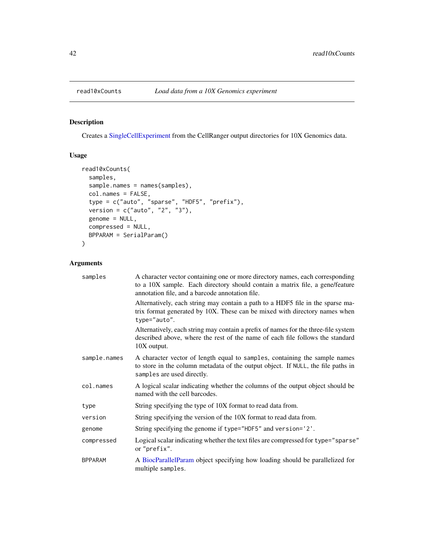## <span id="page-41-1"></span><span id="page-41-0"></span>Description

Creates a [SingleCellExperiment](#page-0-0) from the CellRanger output directories for 10X Genomics data.

## Usage

```
read10xCounts(
  samples,
  sample.names = names(samples),
 col.names = FALSE,
  type = c("auto", "sparse", "HDF5", "prefix"),
 version = c("auto", "2", "3"),genome = NULL,
 compressed = NULL,
 BPPARAM = SerialParam()
)
```
## Arguments

| samples        | A character vector containing one or more directory names, each corresponding<br>to a 10X sample. Each directory should contain a matrix file, a gene/feature<br>annotation file, and a barcode annotation file. |
|----------------|------------------------------------------------------------------------------------------------------------------------------------------------------------------------------------------------------------------|
|                | Alternatively, each string may contain a path to a HDF5 file in the sparse ma-<br>trix format generated by 10X. These can be mixed with directory names when<br>type="auto".                                     |
|                | Alternatively, each string may contain a prefix of names for the three-file system<br>described above, where the rest of the name of each file follows the standard<br>10X output.                               |
| sample.names   | A character vector of length equal to samples, containing the sample names<br>to store in the column metadata of the output object. If NULL, the file paths in<br>samples are used directly.                     |
| col.names      | A logical scalar indicating whether the columns of the output object should be<br>named with the cell barcodes.                                                                                                  |
| type           | String specifying the type of 10X format to read data from.                                                                                                                                                      |
| version        | String specifying the version of the 10X format to read data from.                                                                                                                                               |
| genome         | String specifying the genome if type="HDF5" and version='2'.                                                                                                                                                     |
| compressed     | Logical scalar indicating whether the text files are compressed for type="sparse"<br>or "prefix".                                                                                                                |
| <b>BPPARAM</b> | A BiocParallelParam object specifying how loading should be parallelized for<br>multiple samples.                                                                                                                |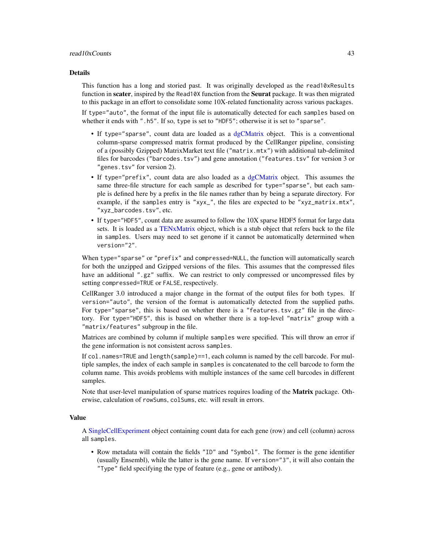#### <span id="page-42-0"></span>Details

This function has a long and storied past. It was originally developed as the read10xResults function in scater, inspired by the Read10X function from the Seurat package. It was then migrated to this package in an effort to consolidate some 10X-related functionality across various packages.

If type="auto", the format of the input file is automatically detected for each samples based on whether it ends with ".h5". If so, type is set to "HDF5"; otherwise it is set to "sparse".

- If type="sparse", count data are loaded as a [dgCMatrix](#page-0-0) object. This is a conventional column-sparse compressed matrix format produced by the CellRanger pipeline, consisting of a (possibly Gzipped) MatrixMarket text file ("matrix.mtx") with additional tab-delimited files for barcodes ("barcodes.tsv") and gene annotation ("features.tsv" for version 3 or "genes.tsv" for version 2).
- If type="prefix", count data are also loaded as a [dgCMatrix](#page-0-0) object. This assumes the same three-file structure for each sample as described for type="sparse", but each sample is defined here by a prefix in the file names rather than by being a separate directory. For example, if the samples entry is "xyx\_", the files are expected to be "xyz\_matrix.mtx", "xyz\_barcodes.tsv", etc.
- If type="HDF5", count data are assumed to follow the 10X sparse HDF5 format for large data sets. It is loaded as a [TENxMatrix](#page-0-0) object, which is a stub object that refers back to the file in samples. Users may need to set genome if it cannot be automatically determined when version="2".

When type="sparse" or "prefix" and compressed=NULL, the function will automatically search for both the unzipped and Gzipped versions of the files. This assumes that the compressed files have an additional ".gz" suffix. We can restrict to only compressed or uncompressed files by setting compressed=TRUE or FALSE, respectively.

CellRanger 3.0 introduced a major change in the format of the output files for both types. If version="auto", the version of the format is automatically detected from the supplied paths. For type="sparse", this is based on whether there is a "features.tsv.gz" file in the directory. For type="HDF5", this is based on whether there is a top-level "matrix" group with a "matrix/features" subgroup in the file.

Matrices are combined by column if multiple samples were specified. This will throw an error if the gene information is not consistent across samples.

If col.names=TRUE and length(sample)==1, each column is named by the cell barcode. For multiple samples, the index of each sample in samples is concatenated to the cell barcode to form the column name. This avoids problems with multiple instances of the same cell barcodes in different samples.

Note that user-level manipulation of sparse matrices requires loading of the **Matrix** package. Otherwise, calculation of rowSums, colSums, etc. will result in errors.

#### Value

A [SingleCellExperiment](#page-0-0) object containing count data for each gene (row) and cell (column) across all samples.

• Row metadata will contain the fields "ID" and "Symbol". The former is the gene identifier (usually Ensembl), while the latter is the gene name. If version="3", it will also contain the "Type" field specifying the type of feature (e.g., gene or antibody).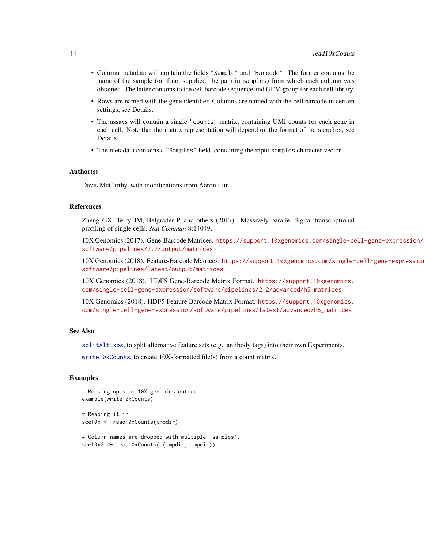- <span id="page-43-0"></span>• Column metadata will contain the fields "Sample" and "Barcode". The former contains the name of the sample (or if not supplied, the path in samples) from which each column was obtained. The latter contains to the cell barcode sequence and GEM group for each cell library.
- Rows are named with the gene identifier. Columns are named with the cell barcode in certain settings, see Details.
- The assays will contain a single "counts" matrix, containing UMI counts for each gene in each cell. Note that the matrix representation will depend on the format of the samples, see Details.
- The metadata contains a "Samples" field, containing the input samples character vector.

#### Author(s)

Davis McCarthy, with modifications from Aaron Lun

#### References

Zheng GX, Terry JM, Belgrader P, and others (2017). Massively parallel digital transcriptional profiling of single cells. *Nat Commun* 8:14049.

10X Genomics (2017). Gene-Barcode Matrices. [https://support.10xgenomics.com/single-ce](https://support.10xgenomics.com/single-cell-gene-expression/software/pipelines/2.2/output/matrices)ll-gene-expression/ [software/pipelines/2.2/output/matrices](https://support.10xgenomics.com/single-cell-gene-expression/software/pipelines/2.2/output/matrices)

10X Genomics (2018). Feature-Barcode Matrices. [https://support.10xgenomics.com/single-](https://support.10xgenomics.com/single-cell-gene-expression/software/pipelines/latest/output/matrices)cell-gene-expression/ [software/pipelines/latest/output/matrices](https://support.10xgenomics.com/single-cell-gene-expression/software/pipelines/latest/output/matrices)

10X Genomics (2018). HDF5 Gene-Barcode Matrix Format. [https://support.10xgenomics.](https://support.10xgenomics.com/single-cell-gene-expression/software/pipelines/2.2/advanced/h5_matrices) [com/single-cell-gene-expression/software/pipelines/2.2/advanced/h5\\_matrices](https://support.10xgenomics.com/single-cell-gene-expression/software/pipelines/2.2/advanced/h5_matrices)

10X Genomics (2018). HDF5 Feature Barcode Matrix Format. [https://support.10xgenomics.](https://support.10xgenomics.com/single-cell-gene-expression/software/pipelines/latest/advanced/h5_matrices) [com/single-cell-gene-expression/software/pipelines/latest/advanced/h5\\_matrices](https://support.10xgenomics.com/single-cell-gene-expression/software/pipelines/latest/advanced/h5_matrices)

#### See Also

[splitAltExps](#page-0-0), to split alternative feature sets (e.g., antibody tags) into their own Experiments.

[write10xCounts](#page-51-1), to create 10X-formatted file(s) from a count matrix.

#### Examples

```
# Mocking up some 10X genomics output.
example(write10xCounts)
```
# Reading it in. sce10x <- read10xCounts(tmpdir)

```
# Column names are dropped with multiple 'samples'.
sce10x2 <- read10xCounts(c(tmpdir, tmpdir))
```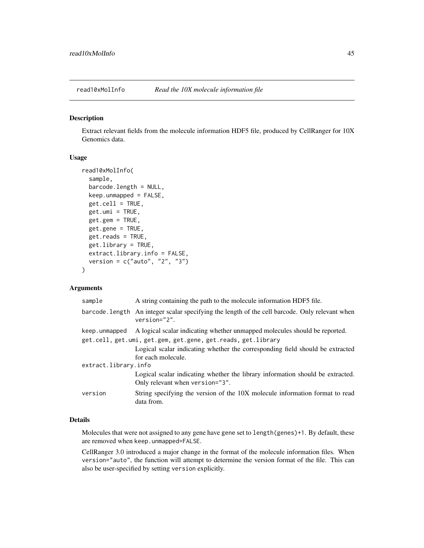<span id="page-44-1"></span><span id="page-44-0"></span>

#### Description

Extract relevant fields from the molecule information HDF5 file, produced by CellRanger for 10X Genomics data.

## Usage

```
read10xMolInfo(
  sample,
 barcode.length = NULL,
 keep.unmapped = FALSE,
 get-cell = TRUE,get .umi = TRUE,
  get.gem = TRUE,
  get.gene = TRUE,
 get.reads = TRUE,
  get.library = TRUE,
  extract.library.info = FALSE,
  version = c("auto", "2", "3")
)
```
## Arguments

| sample               | A string containing the path to the molecule information HDF5 file.                                                |
|----------------------|--------------------------------------------------------------------------------------------------------------------|
|                      | barcode. Length An integer scalar specifying the length of the cell barcode. Only relevant when<br>$version="2"$ . |
| keep.unmapped        | A logical scalar indicating whether unmapped molecules should be reported.                                         |
|                      | get.cell, get.umi, get.gem, get.gene, get.reads, get.library                                                       |
|                      | Logical scalar indicating whether the corresponding field should be extracted                                      |
|                      | for each molecule.                                                                                                 |
| extract.library.info |                                                                                                                    |
|                      | Logical scalar indicating whether the library information should be extracted.                                     |
|                      | Only relevant when version="3".                                                                                    |
| version              | String specifying the version of the 10X molecule information format to read<br>data from.                         |

#### Details

Molecules that were not assigned to any gene have gene set to length(genes)+1. By default, these are removed when keep.unmapped=FALSE.

CellRanger 3.0 introduced a major change in the format of the molecule information files. When version="auto", the function will attempt to determine the version format of the file. This can also be user-specified by setting version explicitly.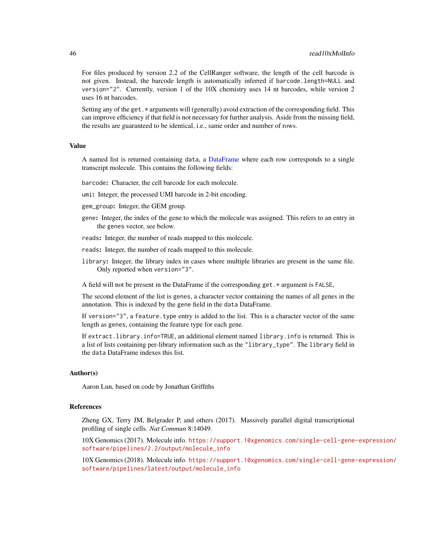For files produced by version 2.2 of the CellRanger software, the length of the cell barcode is not given. Instead, the barcode length is automatically inferred if barcode.length=NULL and version="2". Currently, version 1 of the 10X chemistry uses 14 nt barcodes, while version 2 uses 16 nt barcodes.

Setting any of the get.\* arguments will (generally) avoid extraction of the corresponding field. This can improve efficiency if that field is not necessary for further analysis. Aside from the missing field, the results are guaranteed to be identical, i.e., same order and number of rows.

#### Value

A named list is returned containing data, a [DataFrame](#page-0-0) where each row corresponds to a single transcript molecule. This contains the following fields:

barcode: Character, the cell barcode for each molecule.

umi: Integer, the processed UMI barcode in 2-bit encoding.

gem\_group: Integer, the GEM group.

- gene: Integer, the index of the gene to which the molecule was assigned. This refers to an entry in the genes vector, see below.
- reads: Integer, the number of reads mapped to this molecule.
- reads: Integer, the number of reads mapped to this molecule.
- library: Integer, the library index in cases where multiple libraries are present in the same file. Only reported when version="3".

A field will not be present in the DataFrame if the corresponding get.\* argument is FALSE,

The second element of the list is genes, a character vector containing the names of all genes in the annotation. This is indexed by the gene field in the data DataFrame.

If version="3", a feature.type entry is added to the list. This is a character vector of the same length as genes, containing the feature type for each gene.

If extract.library.info=TRUE, an additional element named library.info is returned. This is a list of lists containing per-library information such as the "library\_type". The library field in the data DataFrame indexes this list.

#### Author(s)

Aaron Lun, based on code by Jonathan Griffiths

#### References

Zheng GX, Terry JM, Belgrader P, and others (2017). Massively parallel digital transcriptional profiling of single cells. *Nat Commun* 8:14049.

10X Genomics (2017). Molecule info. [https://support.10xgenomics.com/single-cell-gene-](https://support.10xgenomics.com/single-cell-gene-expression/software/pipelines/2.2/output/molecule_info)expression/ [software/pipelines/2.2/output/molecule\\_info](https://support.10xgenomics.com/single-cell-gene-expression/software/pipelines/2.2/output/molecule_info)

10X Genomics (2018). Molecule info. [https://support.10xgenomics.com/single-cell-gene-](https://support.10xgenomics.com/single-cell-gene-expression/software/pipelines/latest/output/molecule_info)expression/ [software/pipelines/latest/output/molecule\\_info](https://support.10xgenomics.com/single-cell-gene-expression/software/pipelines/latest/output/molecule_info)

<span id="page-45-0"></span>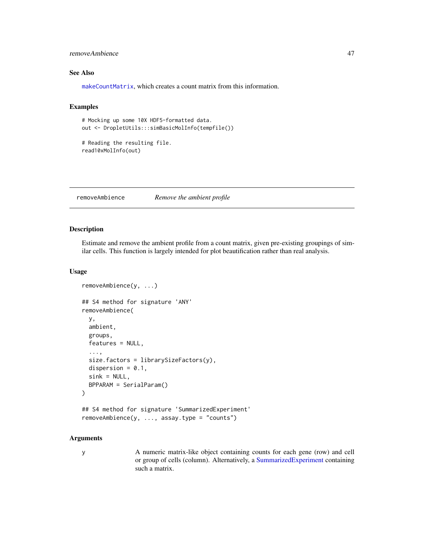## <span id="page-46-0"></span>removeAmbience 47

## See Also

[makeCountMatrix](#page-39-1), which creates a count matrix from this information.

## Examples

```
# Mocking up some 10X HDF5-formatted data.
out <- DropletUtils:::simBasicMolInfo(tempfile())
```

```
# Reading the resulting file.
read10xMolInfo(out)
```
removeAmbience *Remove the ambient profile*

## Description

Estimate and remove the ambient profile from a count matrix, given pre-existing groupings of similar cells. This function is largely intended for plot beautification rather than real analysis.

#### Usage

```
removeAmbience(y, ...)
## S4 method for signature 'ANY'
removeAmbience(
 y,
 ambient,
 groups,
  features = NULL,
  ...,
 size.factors = librarySizeFactors(y),
 dispersion = 0.1,
  sink = NULL,
 BPPARAM = SerialParam()
)
## S4 method for signature 'SummarizedExperiment'
removeAmbience(y, ..., assay.type = "counts")
```
#### Arguments

y A numeric matrix-like object containing counts for each gene (row) and cell or group of cells (column). Alternatively, a [SummarizedExperiment](#page-0-0) containing such a matrix.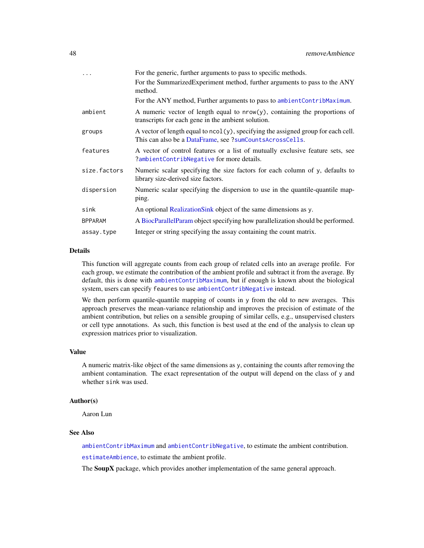<span id="page-47-0"></span>

|                | For the generic, further arguments to pass to specific methods.                                                                               |
|----------------|-----------------------------------------------------------------------------------------------------------------------------------------------|
|                | For the SummarizedExperiment method, further arguments to pass to the ANY<br>method.                                                          |
|                | For the ANY method, Further arguments to pass to ambientContribMaximum.                                                                       |
| ambient        | A numeric vector of length equal to $nrow(y)$ , containing the proportions of<br>transcripts for each gene in the ambient solution.           |
| groups         | A vector of length equal to ncol(y), specifying the assigned group for each cell.<br>This can also be a DataFrame, see ?sumCountsAcrossCells. |
| features       | A vector of control features or a list of mutually exclusive feature sets, see<br>?ambientContribNegative for more details.                   |
| size.factors   | Numeric scalar specifying the size factors for each column of y, defaults to<br>library size-derived size factors.                            |
| dispersion     | Numeric scalar specifying the dispersion to use in the quantile-quantile map-<br>ping.                                                        |
| sink           | An optional Realization Sink object of the same dimensions as y.                                                                              |
| <b>BPPARAM</b> | A BiocParallelParam object specifying how parallelization should be performed.                                                                |
| assay.type     | Integer or string specifying the assay containing the count matrix.                                                                           |

## Details

This function will aggregate counts from each group of related cells into an average profile. For each group, we estimate the contribution of the ambient profile and subtract it from the average. By default, this is done with [ambientContribMaximum](#page-1-1), but if enough is known about the biological system, users can specify feaures to use [ambientContribNegative](#page-4-1) instead.

We then perform quantile-quantile mapping of counts in y from the old to new averages. This approach preserves the mean-variance relationship and improves the precision of estimate of the ambient contribution, but relies on a sensible grouping of similar cells, e.g., unsupervised clusters or cell type annotations. As such, this function is best used at the end of the analysis to clean up expression matrices prior to visualization.

#### Value

A numeric matrix-like object of the same dimensions as y, containing the counts after removing the ambient contamination. The exact representation of the output will depend on the class of y and whether sink was used.

#### Author(s)

Aaron Lun

#### See Also

[ambientContribMaximum](#page-1-1) and [ambientContribNegative](#page-4-1), to estimate the ambient contribution.

[estimateAmbience](#page-10-2), to estimate the ambient profile.

The **SoupX** package, which provides another implementation of the same general approach.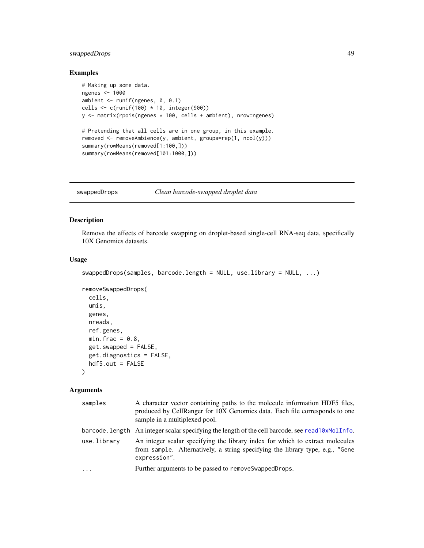## <span id="page-48-0"></span>swappedDrops 49

## Examples

```
# Making up some data.
ngenes <- 1000
ambient <- runif(ngenes, 0, 0.1)
cells \leftarrow c(runif(100) \star 10, integer(900))
y <- matrix(rpois(ngenes * 100, cells + ambient), nrow=ngenes)
# Pretending that all cells are in one group, in this example.
removed <- removeAmbience(y, ambient, groups=rep(1, ncol(y)))
summary(rowMeans(removed[1:100,]))
summary(rowMeans(removed[101:1000,]))
```
<span id="page-48-1"></span>swappedDrops *Clean barcode-swapped droplet data*

## Description

Remove the effects of barcode swapping on droplet-based single-cell RNA-seq data, specifically 10X Genomics datasets.

## Usage

```
swappedDrops(samples, barcode.length = NULL, use.library = NULL, ...)
```

```
removeSwappedDrops(
 cells,
 umis,
 genes,
 nreads,
 ref.genes,
 min.frac = 0.8,
  get.swapped = FALSE,
  get.diagnostics = FALSE,
 hdf5.out = FALSE)
```
#### Arguments

| samples     | A character vector containing paths to the molecule information HDF5 files,<br>produced by CellRanger for 10X Genomics data. Each file corresponds to one<br>sample in a multiplexed pool. |
|-------------|--------------------------------------------------------------------------------------------------------------------------------------------------------------------------------------------|
|             | barcode. Length An integer scalar specifying the length of the cell barcode, see read10xMolInfo.                                                                                           |
| use.library | An integer scalar specifying the library index for which to extract molecules<br>from sample. Alternatively, a string specifying the library type, e.g., "Gene<br>expression".             |
| .           | Further arguments to be passed to remove Swapped Drops.                                                                                                                                    |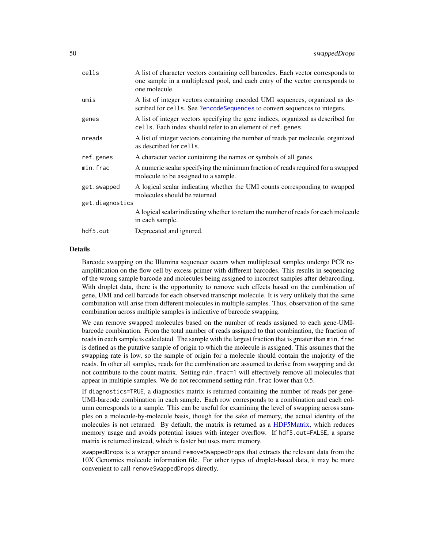<span id="page-49-0"></span>

| cells           | A list of character vectors containing cell barcodes. Each vector corresponds to<br>one sample in a multiplexed pool, and each entry of the vector corresponds to<br>one molecule. |
|-----------------|------------------------------------------------------------------------------------------------------------------------------------------------------------------------------------|
| umis            | A list of integer vectors containing encoded UMI sequences, organized as de-<br>scribed for cells. See ?encodeSequences to convert sequences to integers.                          |
| genes           | A list of integer vectors specifying the gene indices, organized as described for<br>cells. Each index should refer to an element of ref.genes.                                    |
| nreads          | A list of integer vectors containing the number of reads per molecule, organized<br>as described for cells.                                                                        |
| ref.genes       | A character vector containing the names or symbols of all genes.                                                                                                                   |
| min.frac        | A numeric scalar specifying the minimum fraction of reads required for a swapped<br>molecule to be assigned to a sample.                                                           |
| get.swapped     | A logical scalar indicating whether the UMI counts corresponding to swapped<br>molecules should be returned.                                                                       |
| get.diagnostics |                                                                                                                                                                                    |
|                 | A logical scalar indicating whether to return the number of reads for each molecule<br>in each sample.                                                                             |
| hdf5.out        | Deprecated and ignored.                                                                                                                                                            |

#### Details

Barcode swapping on the Illumina sequencer occurs when multiplexed samples undergo PCR reamplification on the flow cell by excess primer with different barcodes. This results in sequencing of the wrong sample barcode and molecules being assigned to incorrect samples after debarcoding. With droplet data, there is the opportunity to remove such effects based on the combination of gene, UMI and cell barcode for each observed transcript molecule. It is very unlikely that the same combination will arise from different molecules in multiple samples. Thus, observation of the same combination across multiple samples is indicative of barcode swapping.

We can remove swapped molecules based on the number of reads assigned to each gene-UMIbarcode combination. From the total number of reads assigned to that combination, the fraction of reads in each sample is calculated. The sample with the largest fraction that is greater than min. frac is defined as the putative sample of origin to which the molecule is assigned. This assumes that the swapping rate is low, so the sample of origin for a molecule should contain the majority of the reads. In other all samples, reads for the combination are assumed to derive from swapping and do not contribute to the count matrix. Setting min.frac=1 will effectively remove all molecules that appear in multiple samples. We do not recommend setting min.frac lower than 0.5.

If diagnostics=TRUE, a diagnostics matrix is returned containing the number of reads per gene-UMI-barcode combination in each sample. Each row corresponds to a combination and each column corresponds to a sample. This can be useful for examining the level of swapping across samples on a molecule-by-molecule basis, though for the sake of memory, the actual identity of the molecules is not returned. By default, the matrix is returned as a [HDF5Matrix,](#page-0-0) which reduces memory usage and avoids potential issues with integer overflow. If hdf5.out=FALSE, a sparse matrix is returned instead, which is faster but uses more memory.

swappedDrops is a wrapper around removeSwappedDrops that extracts the relevant data from the 10X Genomics molecule information file. For other types of droplet-based data, it may be more convenient to call removeSwappedDrops directly.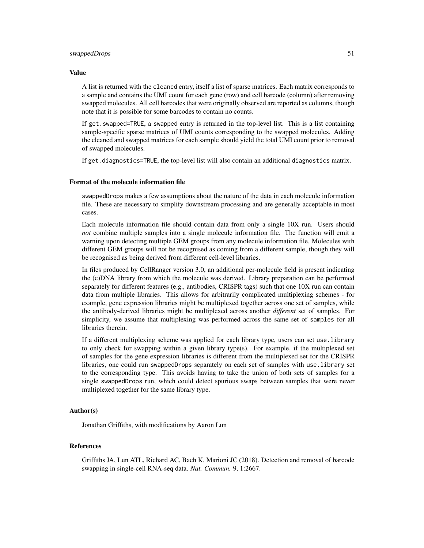#### swappedDrops 51

#### Value

A list is returned with the cleaned entry, itself a list of sparse matrices. Each matrix corresponds to a sample and contains the UMI count for each gene (row) and cell barcode (column) after removing swapped molecules. All cell barcodes that were originally observed are reported as columns, though note that it is possible for some barcodes to contain no counts.

If get.swapped=TRUE, a swapped entry is returned in the top-level list. This is a list containing sample-specific sparse matrices of UMI counts corresponding to the swapped molecules. Adding the cleaned and swapped matrices for each sample should yield the total UMI count prior to removal of swapped molecules.

If get.diagnostics=TRUE, the top-level list will also contain an additional diagnostics matrix.

## Format of the molecule information file

swappedDrops makes a few assumptions about the nature of the data in each molecule information file. These are necessary to simplify downstream processing and are generally acceptable in most cases.

Each molecule information file should contain data from only a single 10X run. Users should *not* combine multiple samples into a single molecule information file. The function will emit a warning upon detecting multiple GEM groups from any molecule information file. Molecules with different GEM groups will not be recognised as coming from a different sample, though they will be recognised as being derived from different cell-level libraries.

In files produced by CellRanger version 3.0, an additional per-molecule field is present indicating the (c)DNA library from which the molecule was derived. Library preparation can be performed separately for different features (e.g., antibodies, CRISPR tags) such that one 10X run can contain data from multiple libraries. This allows for arbitrarily complicated multiplexing schemes - for example, gene expression libraries might be multiplexed together across one set of samples, while the antibody-derived libraries might be multiplexed across another *different* set of samples. For simplicity, we assume that multiplexing was performed across the same set of samples for all libraries therein.

If a different multiplexing scheme was applied for each library type, users can set use.library to only check for swapping within a given library type(s). For example, if the multiplexed set of samples for the gene expression libraries is different from the multiplexed set for the CRISPR libraries, one could run swappedDrops separately on each set of samples with use.library set to the corresponding type. This avoids having to take the union of both sets of samples for a single swappedDrops run, which could detect spurious swaps between samples that were never multiplexed together for the same library type.

## Author(s)

Jonathan Griffiths, with modifications by Aaron Lun

#### References

Griffiths JA, Lun ATL, Richard AC, Bach K, Marioni JC (2018). Detection and removal of barcode swapping in single-cell RNA-seq data. *Nat. Commun.* 9, 1:2667.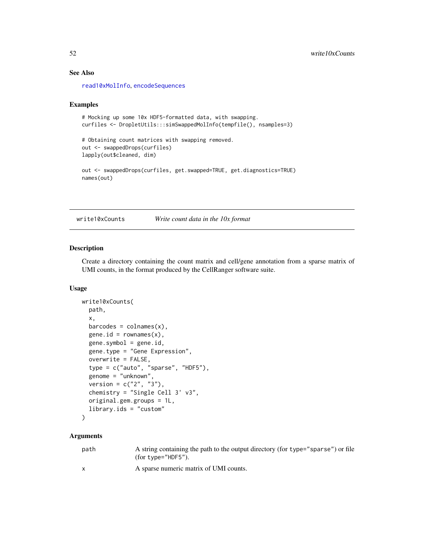## See Also

[read10xMolInfo](#page-44-1), [encodeSequences](#page-32-1)

#### Examples

```
# Mocking up some 10x HDF5-formatted data, with swapping.
curfiles <- DropletUtils:::simSwappedMolInfo(tempfile(), nsamples=3)
# Obtaining count matrices with swapping removed.
out <- swappedDrops(curfiles)
lapply(out$cleaned, dim)
out <- swappedDrops(curfiles, get.swapped=TRUE, get.diagnostics=TRUE)
names(out)
```
<span id="page-51-1"></span>

write10xCounts *Write count data in the 10x format*

#### Description

Create a directory containing the count matrix and cell/gene annotation from a sparse matrix of UMI counts, in the format produced by the CellRanger software suite.

## Usage

```
write10xCounts(
  path,
  x,
 barcodes = colnames(x),
  gene.id = rownames(x),
  gene.symbol = gene.id,
  gene.type = "Gene Expression",
  overwrite = FALSE,
  type = c("auto", "sparse", "HDF5"),
  genome = "unknown",
  version = c("2", "3"),
  chemistry = "Single Cell 3' v3",
  original.gem.groups = 1L,
  library.ids = "custom"
)
```
## **Arguments**

| path         | A string containing the path to the output directory (for type="sparse") or file<br>(for type=" $HDF5$ "). |
|--------------|------------------------------------------------------------------------------------------------------------|
| $\mathsf{X}$ | A sparse numeric matrix of UMI counts.                                                                     |

<span id="page-51-0"></span>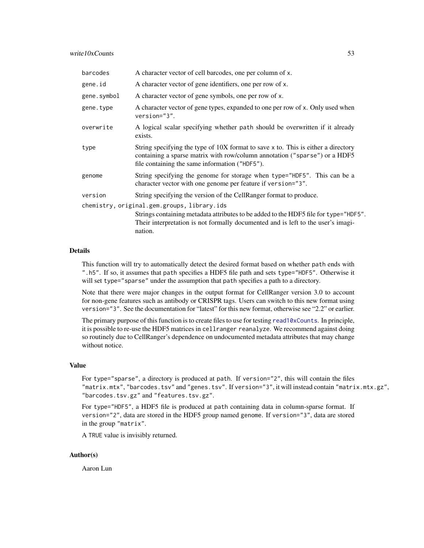## <span id="page-52-0"></span>write  $10x$ Counts 53

| barcodes    | A character vector of cell barcodes, one per column of x.                                                                                                                                                         |
|-------------|-------------------------------------------------------------------------------------------------------------------------------------------------------------------------------------------------------------------|
| gene.id     | A character vector of gene identifiers, one per row of x.                                                                                                                                                         |
| gene.symbol | A character vector of gene symbols, one per row of x.                                                                                                                                                             |
| gene.type   | A character vector of gene types, expanded to one per row of x. Only used when<br>version="3".                                                                                                                    |
| overwrite   | A logical scalar specifying whether path should be overwritten if it already<br>exists.                                                                                                                           |
| type        | String specifying the type of 10X format to save x to. This is either a directory<br>containing a sparse matrix with row/column annotation ("sparse") or a HDF5<br>file containing the same information ("HDF5"). |
| genome      | String specifying the genome for storage when type="HDF5". This can be a<br>character vector with one genome per feature if version="3".                                                                          |
| version     | String specifying the version of the CellRanger format to produce.                                                                                                                                                |
|             | chemistry, original.gem.groups, library.ids                                                                                                                                                                       |
|             | Strings containing metadata attributes to be added to the HDF5 file for type="HDF5".<br>Their interpretation is not formally documented and is left to the user's imagi-<br>nation.                               |

## Details

This function will try to automatically detect the desired format based on whether path ends with ".h5". If so, it assumes that path specifies a HDF5 file path and sets type="HDF5". Otherwise it will set type="sparse" under the assumption that path specifies a path to a directory.

Note that there were major changes in the output format for CellRanger version 3.0 to account for non-gene features such as antibody or CRISPR tags. Users can switch to this new format using version="3". See the documentation for "latest" for this new format, otherwise see "2.2" or earlier.

The primary purpose of this function is to create files to use for testing [read10xCounts](#page-41-1). In principle, it is possible to re-use the HDF5 matrices in cellranger reanalyze. We recommend against doing so routinely due to CellRanger's dependence on undocumented metadata attributes that may change without notice.

## Value

For type="sparse", a directory is produced at path. If version="2", this will contain the files "matrix.mtx", "barcodes.tsv" and "genes.tsv". If version="3", it will instead contain "matrix.mtx.gz", "barcodes.tsv.gz" and "features.tsv.gz".

For type="HDF5", a HDF5 file is produced at path containing data in column-sparse format. If version="2", data are stored in the HDF5 group named genome. If version="3", data are stored in the group "matrix".

A TRUE value is invisibly returned.

## Author(s)

Aaron Lun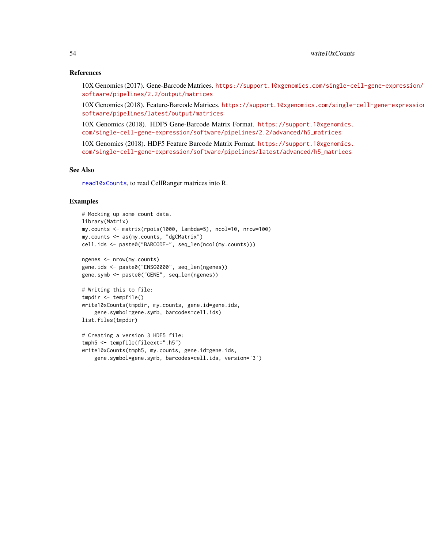## References

10X Genomics (2017). Gene-Barcode Matrices. [https://support.10xgenomics.com/single-ce](https://support.10xgenomics.com/single-cell-gene-expression/software/pipelines/2.2/output/matrices)ll-gene-expression/ [software/pipelines/2.2/output/matrices](https://support.10xgenomics.com/single-cell-gene-expression/software/pipelines/2.2/output/matrices)

10X Genomics (2018). Feature-Barcode Matrices. [https://support.10xgenomics.com/single-](https://support.10xgenomics.com/single-cell-gene-expression/software/pipelines/latest/output/matrices)cell-gene-expression/ [software/pipelines/latest/output/matrices](https://support.10xgenomics.com/single-cell-gene-expression/software/pipelines/latest/output/matrices)

10X Genomics (2018). HDF5 Gene-Barcode Matrix Format. [https://support.10xgenomics.](https://support.10xgenomics.com/single-cell-gene-expression/software/pipelines/2.2/advanced/h5_matrices) [com/single-cell-gene-expression/software/pipelines/2.2/advanced/h5\\_matrices](https://support.10xgenomics.com/single-cell-gene-expression/software/pipelines/2.2/advanced/h5_matrices)

10X Genomics (2018). HDF5 Feature Barcode Matrix Format. [https://support.10xgenomics.](https://support.10xgenomics.com/single-cell-gene-expression/software/pipelines/latest/advanced/h5_matrices) [com/single-cell-gene-expression/software/pipelines/latest/advanced/h5\\_matrices](https://support.10xgenomics.com/single-cell-gene-expression/software/pipelines/latest/advanced/h5_matrices)

## See Also

[read10xCounts](#page-41-1), to read CellRanger matrices into R.

## Examples

# Writing this to file: tmpdir <- tempfile()

# Creating a version 3 HDF5 file: tmph5 <- tempfile(fileext=".h5")

list.files(tmpdir)

```
# Mocking up some count data.
library(Matrix)
my.counts <- matrix(rpois(1000, lambda=5), ncol=10, nrow=100)
my.counts <- as(my.counts, "dgCMatrix")
cell.ids <- paste0("BARCODE-", seq_len(ncol(my.counts)))
ngenes <- nrow(my.counts)
gene.ids <- paste0("ENSG0000", seq_len(ngenes))
gene.symb <- paste0("GENE", seq_len(ngenes))
```
write10xCounts(tmpdir, my.counts, gene.id=gene.ids, gene.symbol=gene.symb, barcodes=cell.ids)

write10xCounts(tmph5, my.counts, gene.id=gene.ids,

gene.symbol=gene.symb, barcodes=cell.ids, version='3')

<span id="page-53-0"></span>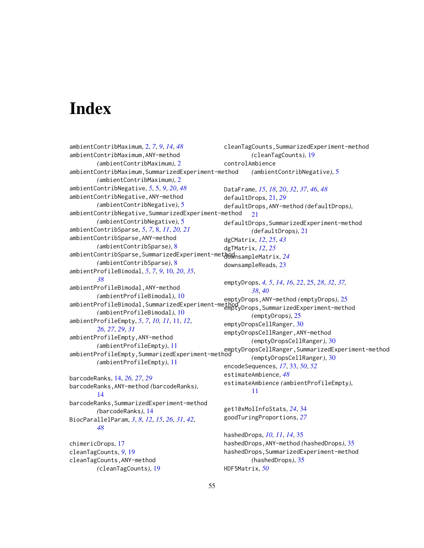# <span id="page-54-0"></span>**Index**

ambientContribMaximum, [2,](#page-1-0) *[7](#page-6-0)*, *[9](#page-8-0)*, *[14](#page-13-0)*, *[48](#page-47-0)* ambientContribMaximum,ANY-method *(*ambientContribMaximum*)*, [2](#page-1-0) ambientContribMaximum,SummarizedExperiment-method *(*ambientContribMaximum*)*, [2](#page-1-0) ambientContribNegative, *[5](#page-4-0)*, [5,](#page-4-0) *[9](#page-8-0)*, *[20](#page-19-0)*, *[48](#page-47-0)* ambientContribNegative,ANY-method *(*ambientContribNegative*)*, [5](#page-4-0) ambientContribNegative, SummarizedExperiment-method *(*ambientContribNegative*)*, [5](#page-4-0) ambientContribSparse, *[5](#page-4-0)*, *[7](#page-6-0)*, [8,](#page-7-0) *[11](#page-10-0)*, *[20,](#page-19-0) [21](#page-20-0)* ambientContribSparse,ANY-method *(*ambientContribSparse*)*, [8](#page-7-0) ambientContribSparse,SummarizedExperiment-method downsampleMatrix, *[24](#page-23-0) (*ambientContribSparse*)*, [8](#page-7-0) ambientProfileBimodal, *[5](#page-4-0)*, *[7](#page-6-0)*, *[9](#page-8-0)*, [10,](#page-9-0) *[20](#page-19-0)*, *[35](#page-34-0)*, *[38](#page-37-0)* ambientProfileBimodal,ANY-method *(*ambientProfileBimodal*)*, [10](#page-9-0) ambientProfileBimodal,SummarizedExperiment-method<br>emptyDrops,SummarizedExperiment-method *(*ambientProfileBimodal*)*, [10](#page-9-0) ambientProfileEmpty, *[5](#page-4-0)*, *[7](#page-6-0)*, *[10,](#page-9-0) [11](#page-10-0)*, [11,](#page-10-0) *[12](#page-11-0)*, *[26,](#page-25-0) [27](#page-26-0)*, *[29](#page-28-0)*, *[31](#page-30-0)* ambientProfileEmpty,ANY-method *(*ambientProfileEmpty*)*, [11](#page-10-0) ambientProfileEmpty,SummarizedExperiment-method emptyDropsCellRanger,SummarizedExperiment-method *(*ambientProfileEmpty*)*, [11](#page-10-0) barcodeRanks, [14,](#page-13-0) *[26,](#page-25-0) [27](#page-26-0)*, *[29](#page-28-0)* barcodeRanks,ANY-method *(*barcodeRanks*)*, [14](#page-13-0) barcodeRanks,SummarizedExperiment-method *(*barcodeRanks*)*, [14](#page-13-0) BiocParallelParam, *[3](#page-2-0)*, *[8](#page-7-0)*, *[12](#page-11-0)*, *[15](#page-14-0)*, *[26](#page-25-0)*, *[31](#page-30-0)*, *[42](#page-41-0)*, *[48](#page-47-0)* chimericDrops, [17](#page-16-0) cleanTagCounts, *[9](#page-8-0)*, [19](#page-18-0) cleanTagCounts,ANY-method *(*cleanTagCounts*)*, [19](#page-18-0) cleanTagCounts,SummarizedExperiment-method *(*cleanTagCounts*)*, [19](#page-18-0) controlAmbience *(*ambientContribNegative*)*, [5](#page-4-0) DataFrame, *[15](#page-14-0)*, *[18](#page-17-0)*, *[20](#page-19-0)*, *[32](#page-31-0)*, *[37](#page-36-0)*, *[46](#page-45-0)*, *[48](#page-47-0)* defaultDrops, [21,](#page-20-0) *[29](#page-28-0)* defaultDrops,ANY-method *(*defaultDrops*)*, [21](#page-20-0) defaultDrops,SummarizedExperiment-method *(*defaultDrops*)*, [21](#page-20-0) dgCMatrix, *[12](#page-11-0)*, *[25](#page-24-0)*, *[43](#page-42-0)* dgTMatrix, *[12](#page-11-0)*, *[25](#page-24-0)* downsampleReads, [23](#page-22-0) emptyDrops, *[4,](#page-3-0) [5](#page-4-0)*, *[14](#page-13-0)*, *[16](#page-15-0)*, *[22](#page-21-0)*, [25,](#page-24-0) *[28](#page-27-0)*, *[32](#page-31-0)*, *[37,](#page-36-0) [38](#page-37-0)*, *[40](#page-39-0)* emptyDrops,ANY-method *(*emptyDrops*)*, [25](#page-24-0) *(*emptyDrops*)*, [25](#page-24-0) emptyDropsCellRanger, [30](#page-29-0) emptyDropsCellRanger,ANY-method *(*emptyDropsCellRanger*)*, [30](#page-29-0) *(*emptyDropsCellRanger*)*, [30](#page-29-0) encodeSequences, *[17](#page-16-0)*, [33,](#page-32-0) *[50](#page-49-0)*, *[52](#page-51-0)* estimateAmbience, *[48](#page-47-0)* estimateAmbience *(*ambientProfileEmpty*)*, [11](#page-10-0) get10xMolInfoStats, *[24](#page-23-0)*, [34](#page-33-0) goodTuringProportions, *[27](#page-26-0)* hashedDrops, *[10,](#page-9-0) [11](#page-10-0)*, *[14](#page-13-0)*, [35](#page-34-0) hashedDrops,ANY-method *(*hashedDrops*)*, [35](#page-34-0) hashedDrops,SummarizedExperiment-method *(*hashedDrops*)*, [35](#page-34-0) HDF5Matrix, *[50](#page-49-0)*